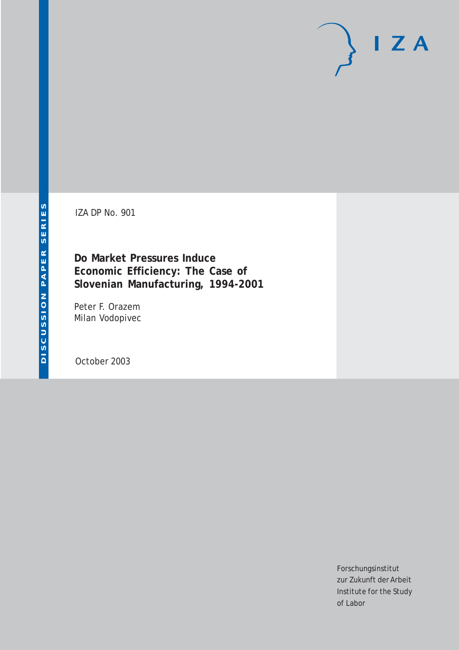IZA DP No. 901

**Do Market Pressures Induce Economic Efficiency: The Case of Slovenian Manufacturing, 1994-2001**

Peter F. Orazem Milan Vodopivec

October 2003

Forschungsinstitut zur Zukunft der Arbeit Institute for the Study of Labor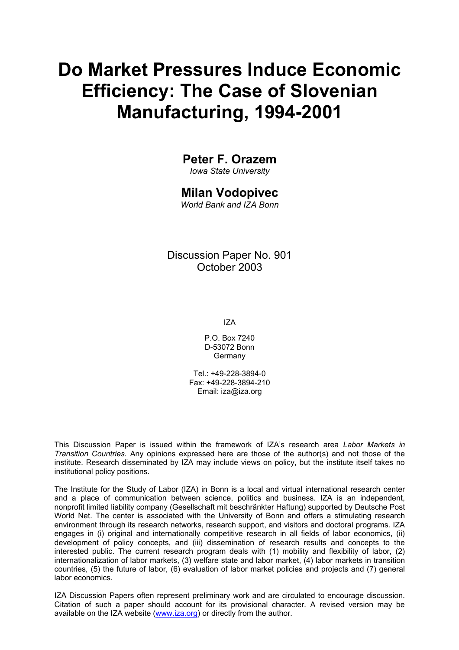# **Do Market Pressures Induce Economic Efficiency: The Case of Slovenian Manufacturing, 1994-2001**

### **Peter F. Orazem**

*Iowa State University* 

### **Milan Vodopivec**

*World Bank and IZA Bonn* 

Discussion Paper No. 901 October 2003

IZA

P.O. Box 7240 D-53072 Bonn Germany

Tel.: +49-228-3894-0 Fax: +49-228-3894-210 Email: [iza@iza.org](mailto:iza@iza.org)

This Discussion Paper is issued within the framework of IZA's research area *Labor Markets in Transition Countries.* Any opinions expressed here are those of the author(s) and not those of the institute. Research disseminated by IZA may include views on policy, but the institute itself takes no institutional policy positions.

The Institute for the Study of Labor (IZA) in Bonn is a local and virtual international research center and a place of communication between science, politics and business. IZA is an independent, nonprofit limited liability company (Gesellschaft mit beschränkter Haftung) supported by Deutsche Post World Net. The center is associated with the University of Bonn and offers a stimulating research environment through its research networks, research support, and visitors and doctoral programs. IZA engages in (i) original and internationally competitive research in all fields of labor economics, (ii) development of policy concepts, and (iii) dissemination of research results and concepts to the interested public. The current research program deals with (1) mobility and flexibility of labor, (2) internationalization of labor markets, (3) welfare state and labor market, (4) labor markets in transition countries, (5) the future of labor, (6) evaluation of labor market policies and projects and (7) general labor economics.

IZA Discussion Papers often represent preliminary work and are circulated to encourage discussion. Citation of such a paper should account for its provisional character. A revised version may be available on the IZA website ([www.iza.org](http://www.iza.org/)) or directly from the author.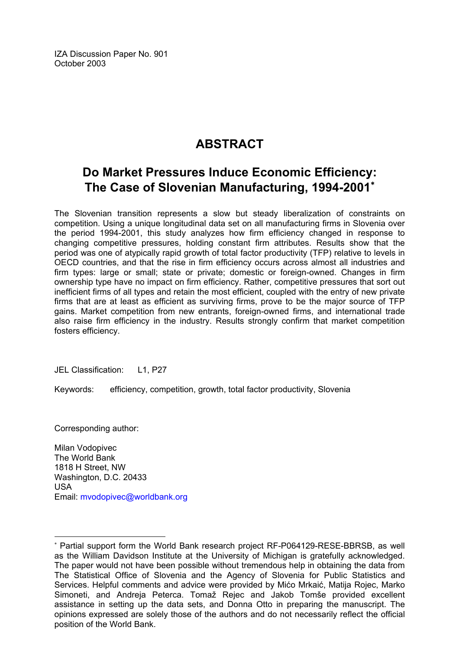IZA Discussion Paper No. 901 October 2003

## **ABSTRACT**

## **Do Market Pressures Induce Economic Efficiency: The Case of Slovenian Manufacturing, 1994-2001**[∗](#page-2-0)

The Slovenian transition represents a slow but steady liberalization of constraints on competition. Using a unique longitudinal data set on all manufacturing firms in Slovenia over the period 1994-2001, this study analyzes how firm efficiency changed in response to changing competitive pressures, holding constant firm attributes. Results show that the period was one of atypically rapid growth of total factor productivity (TFP) relative to levels in OECD countries, and that the rise in firm efficiency occurs across almost all industries and firm types: large or small; state or private; domestic or foreign-owned. Changes in firm ownership type have no impact on firm efficiency. Rather, competitive pressures that sort out inefficient firms of all types and retain the most efficient, coupled with the entry of new private firms that are at least as efficient as surviving firms, prove to be the major source of TFP gains. Market competition from new entrants, foreign-owned firms, and international trade also raise firm efficiency in the industry. Results strongly confirm that market competition fosters efficiency.

JEL Classification: L1, P27

Keywords: efficiency, competition, growth, total factor productivity, Slovenia

Corresponding author:

 $\overline{a}$ 

Milan Vodopivec The World Bank 1818 H Street, NW Washington, D.C. 20433 USA Email: [mvodopivec@worldbank.org](mailto:mvodopivec@worldbank.org)

<span id="page-2-0"></span><sup>∗</sup> Partial support form the World Bank research project RF-P064129-RESE-BBRSB, as well as the William Davidson Institute at the University of Michigan is gratefully acknowledged. The paper would not have been possible without tremendous help in obtaining the data from The Statistical Office of Slovenia and the Agency of Slovenia for Public Statistics and Services. Helpful comments and advice were provided by Mićo Mrkaić, Matija Rojec, Marko Simoneti, and Andreja Peterca. Tomaž Rejec and Jakob Tomše provided excellent assistance in setting up the data sets, and Donna Otto in preparing the manuscript. The opinions expressed are solely those of the authors and do not necessarily reflect the official position of the World Bank.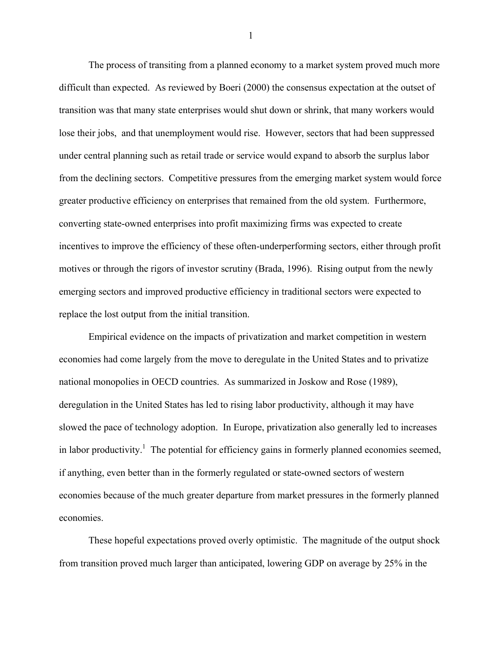The process of transiting from a planned economy to a market system proved much more difficult than expected. As reviewed by Boeri (2000) the consensus expectation at the outset of transition was that many state enterprises would shut down or shrink, that many workers would lose their jobs, and that unemployment would rise. However, sectors that had been suppressed under central planning such as retail trade or service would expand to absorb the surplus labor from the declining sectors. Competitive pressures from the emerging market system would force greater productive efficiency on enterprises that remained from the old system. Furthermore, converting state-owned enterprises into profit maximizing firms was expected to create incentives to improve the efficiency of these often-underperforming sectors, either through profit motives or through the rigors of investor scrutiny (Brada, 1996). Rising output from the newly emerging sectors and improved productive efficiency in traditional sectors were expected to replace the lost output from the initial transition.

 Empirical evidence on the impacts of privatization and market competition in western economies had come largely from the move to deregulate in the United States and to privatize national monopolies in OECD countries. As summarized in Joskow and Rose (1989), deregulation in the United States has led to rising labor productivity, although it may have slowed the pace of technology adoption. In Europe, privatization also generally led to increases in labor productivity.<sup>1</sup> The potential for efficiency gains in formerly planned economies seemed, if anything, even better than in the formerly regulated or state-owned sectors of western economies because of the much greater departure from market pressures in the formerly planned economies.

 These hopeful expectations proved overly optimistic. The magnitude of the output shock from transition proved much larger than anticipated, lowering GDP on average by 25% in the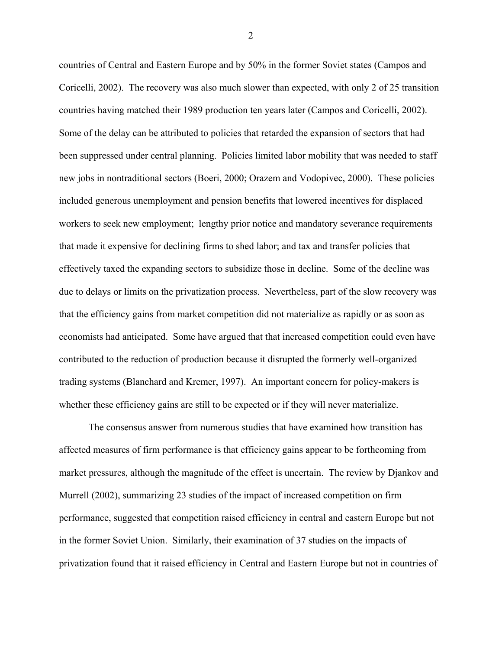countries of Central and Eastern Europe and by 50% in the former Soviet states (Campos and Coricelli, 2002). The recovery was also much slower than expected, with only 2 of 25 transition countries having matched their 1989 production ten years later (Campos and Coricelli, 2002). Some of the delay can be attributed to policies that retarded the expansion of sectors that had been suppressed under central planning. Policies limited labor mobility that was needed to staff new jobs in nontraditional sectors (Boeri, 2000; Orazem and Vodopivec, 2000). These policies included generous unemployment and pension benefits that lowered incentives for displaced workers to seek new employment; lengthy prior notice and mandatory severance requirements that made it expensive for declining firms to shed labor; and tax and transfer policies that effectively taxed the expanding sectors to subsidize those in decline. Some of the decline was due to delays or limits on the privatization process. Nevertheless, part of the slow recovery was that the efficiency gains from market competition did not materialize as rapidly or as soon as economists had anticipated. Some have argued that that increased competition could even have contributed to the reduction of production because it disrupted the formerly well-organized trading systems (Blanchard and Kremer, 1997). An important concern for policy-makers is whether these efficiency gains are still to be expected or if they will never materialize.

 The consensus answer from numerous studies that have examined how transition has affected measures of firm performance is that efficiency gains appear to be forthcoming from market pressures, although the magnitude of the effect is uncertain. The review by Djankov and Murrell (2002), summarizing 23 studies of the impact of increased competition on firm performance, suggested that competition raised efficiency in central and eastern Europe but not in the former Soviet Union. Similarly, their examination of 37 studies on the impacts of privatization found that it raised efficiency in Central and Eastern Europe but not in countries of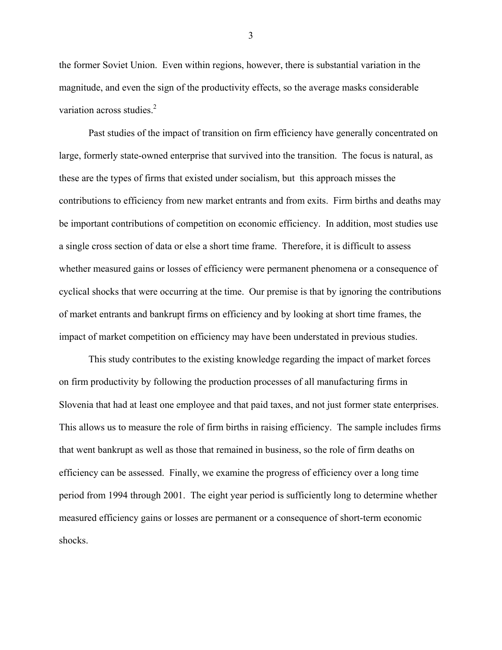the former Soviet Union. Even within regions, however, there is substantial variation in the magnitude, and even the sign of the productivity effects, so the average masks considerable variation across studies.<sup>2</sup>

Past studies of the impact of transition on firm efficiency have generally concentrated on large, formerly state-owned enterprise that survived into the transition. The focus is natural, as these are the types of firms that existed under socialism, but this approach misses the contributions to efficiency from new market entrants and from exits. Firm births and deaths may be important contributions of competition on economic efficiency. In addition, most studies use a single cross section of data or else a short time frame. Therefore, it is difficult to assess whether measured gains or losses of efficiency were permanent phenomena or a consequence of cyclical shocks that were occurring at the time. Our premise is that by ignoring the contributions of market entrants and bankrupt firms on efficiency and by looking at short time frames, the impact of market competition on efficiency may have been understated in previous studies.

This study contributes to the existing knowledge regarding the impact of market forces on firm productivity by following the production processes of all manufacturing firms in Slovenia that had at least one employee and that paid taxes, and not just former state enterprises. This allows us to measure the role of firm births in raising efficiency. The sample includes firms that went bankrupt as well as those that remained in business, so the role of firm deaths on efficiency can be assessed. Finally, we examine the progress of efficiency over a long time period from 1994 through 2001. The eight year period is sufficiently long to determine whether measured efficiency gains or losses are permanent or a consequence of short-term economic shocks.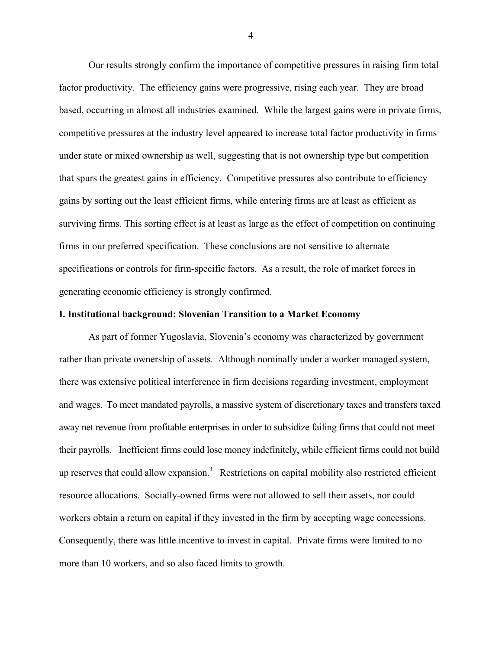Our results strongly confirm the importance of competitive pressures in raising firm total factor productivity. The efficiency gains were progressive, rising each year. They are broad based, occurring in almost all industries examined. While the largest gains were in private firms, competitive pressures at the industry level appeared to increase total factor productivity in firms under state or mixed ownership as well, suggesting that is not ownership type but competition that spurs the greatest gains in efficiency. Competitive pressures also contribute to efficiency gains by sorting out the least efficient firms, while entering firms are at least as efficient as surviving firms. This sorting effect is at least as large as the effect of competition on continuing firms in our preferred specification. These conclusions are not sensitive to alternate specifications or controls for firm-specific factors. As a result, the role of market forces in generating economic efficiency is strongly confirmed.

#### **I. Institutional background: Slovenian Transition to a Market Economy**

As part of former Yugoslavia, Slovenia's economy was characterized by government rather than private ownership of assets. Although nominally under a worker managed system, there was extensive political interference in firm decisions regarding investment, employment and wages. To meet mandated payrolls, a massive system of discretionary taxes and transfers taxed away net revenue from profitable enterprises in order to subsidize failing firms that could not meet their payrolls. Inefficient firms could lose money indefinitely, while efficient firms could not build up reserves that could allow expansion.<sup>3</sup> Restrictions on capital mobility also restricted efficient resource allocations. Socially-owned firms were not allowed to sell their assets, nor could workers obtain a return on capital if they invested in the firm by accepting wage concessions. Consequently, there was little incentive to invest in capital. Private firms were limited to no more than 10 workers, and so also faced limits to growth.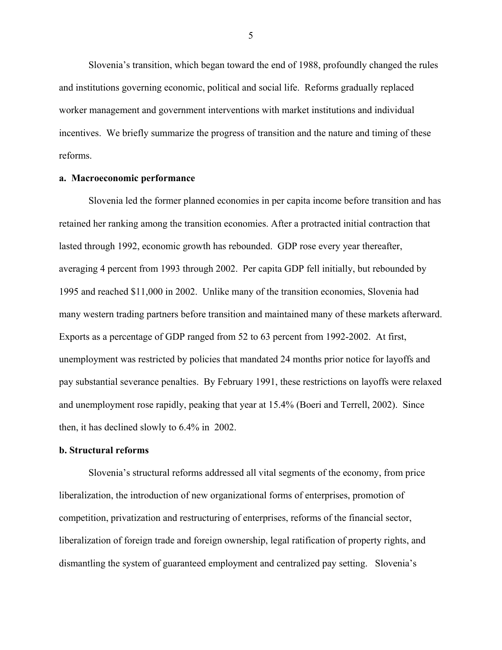Slovenia's transition, which began toward the end of 1988, profoundly changed the rules and institutions governing economic, political and social life. Reforms gradually replaced worker management and government interventions with market institutions and individual incentives. We briefly summarize the progress of transition and the nature and timing of these reforms.

#### **a. Macroeconomic performance**

Slovenia led the former planned economies in per capita income before transition and has retained her ranking among the transition economies. After a protracted initial contraction that lasted through 1992, economic growth has rebounded. GDP rose every year thereafter, averaging 4 percent from 1993 through 2002. Per capita GDP fell initially, but rebounded by 1995 and reached \$11,000 in 2002. Unlike many of the transition economies, Slovenia had many western trading partners before transition and maintained many of these markets afterward. Exports as a percentage of GDP ranged from 52 to 63 percent from 1992-2002. At first, unemployment was restricted by policies that mandated 24 months prior notice for layoffs and pay substantial severance penalties. By February 1991, these restrictions on layoffs were relaxed and unemployment rose rapidly, peaking that year at 15.4% (Boeri and Terrell, 2002). Since then, it has declined slowly to 6.4% in 2002.

#### **b. Structural reforms**

Slovenia's structural reforms addressed all vital segments of the economy, from price liberalization, the introduction of new organizational forms of enterprises, promotion of competition, privatization and restructuring of enterprises, reforms of the financial sector, liberalization of foreign trade and foreign ownership, legal ratification of property rights, and dismantling the system of guaranteed employment and centralized pay setting. Slovenia's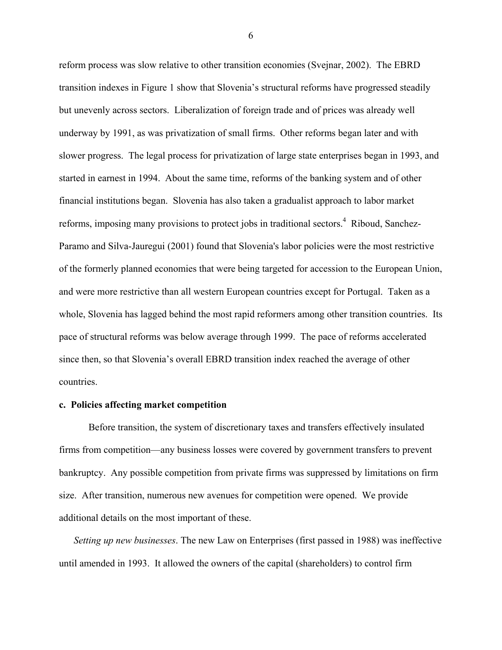reform process was slow relative to other transition economies (Svejnar, 2002). The EBRD transition indexes in Figure 1 show that Slovenia's structural reforms have progressed steadily but unevenly across sectors. Liberalization of foreign trade and of prices was already well underway by 1991, as was privatization of small firms. Other reforms began later and with slower progress. The legal process for privatization of large state enterprises began in 1993, and started in earnest in 1994. About the same time, reforms of the banking system and of other financial institutions began. Slovenia has also taken a gradualist approach to labor market reforms, imposing many provisions to protect jobs in traditional sectors.<sup>4</sup> Riboud, Sanchez-Paramo and Silva-Jauregui (2001) found that Slovenia's labor policies were the most restrictive of the formerly planned economies that were being targeted for accession to the European Union, and were more restrictive than all western European countries except for Portugal. Taken as a whole, Slovenia has lagged behind the most rapid reformers among other transition countries. Its pace of structural reforms was below average through 1999. The pace of reforms accelerated since then, so that Slovenia's overall EBRD transition index reached the average of other countries.

#### **c. Policies affecting market competition**

Before transition, the system of discretionary taxes and transfers effectively insulated firms from competition—any business losses were covered by government transfers to prevent bankruptcy. Any possible competition from private firms was suppressed by limitations on firm size. After transition, numerous new avenues for competition were opened. We provide additional details on the most important of these.

*Setting up new businesses*. The new Law on Enterprises (first passed in 1988) was ineffective until amended in 1993. It allowed the owners of the capital (shareholders) to control firm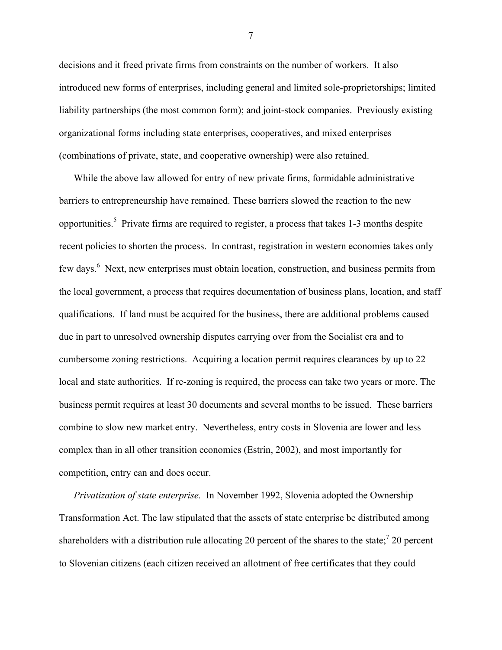decisions and it freed private firms from constraints on the number of workers. It also introduced new forms of enterprises, including general and limited sole-proprietorships; limited liability partnerships (the most common form); and joint-stock companies. Previously existing organizational forms including state enterprises, cooperatives, and mixed enterprises (combinations of private, state, and cooperative ownership) were also retained.

While the above law allowed for entry of new private firms, formidable administrative barriers to entrepreneurship have remained. These barriers slowed the reaction to the new opportunities.<sup>5</sup> Private firms are required to register, a process that takes 1-3 months despite recent policies to shorten the process. In contrast, registration in western economies takes only few days.<sup>[6](#page-37-5)</sup> Next, new enterprises must obtain location, construction, and business permits from the local government, a process that requires documentation of business plans, location, and staff qualifications. If land must be acquired for the business, there are additional problems caused due in part to unresolved ownership disputes carrying over from the Socialist era and to cumbersome zoning restrictions. Acquiring a location permit requires clearances by up to 22 local and state authorities. If re-zoning is required, the process can take two years or more. The business permit requires at least 30 documents and several months to be issued. These barriers combine to slow new market entry. Nevertheless, entry costs in Slovenia are lower and less complex than in all other transition economies (Estrin, 2002), and most importantly for competition, entry can and does occur.

*Privatization of state enterprise.* In November 1992, Slovenia adopted the Ownership Transformation Act. The law stipulated that the assets of state enterprise be distributed among shareholders with a distribution rule allocating 20 percent of the shares to the state;<sup>7</sup> 20 percent to Slovenian citizens (each citizen received an allotment of free certificates that they could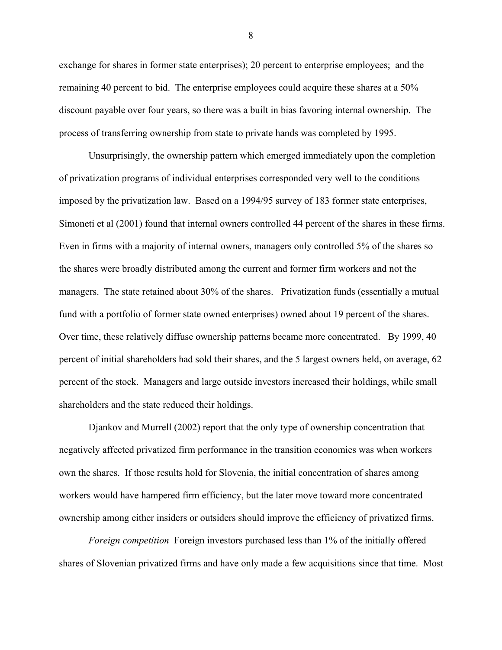exchange for shares in former state enterprises); 20 percent to enterprise employees; and the remaining 40 percent to bid. The enterprise employees could acquire these shares at a 50% discount payable over four years, so there was a built in bias favoring internal ownership. The process of transferring ownership from state to private hands was completed by 1995.

Unsurprisingly, the ownership pattern which emerged immediately upon the completion of privatization programs of individual enterprises corresponded very well to the conditions imposed by the privatization law. Based on a 1994/95 survey of 183 former state enterprises, Simoneti et al (2001) found that internal owners controlled 44 percent of the shares in these firms. Even in firms with a majority of internal owners, managers only controlled 5% of the shares so the shares were broadly distributed among the current and former firm workers and not the managers. The state retained about 30% of the shares. Privatization funds (essentially a mutual fund with a portfolio of former state owned enterprises) owned about 19 percent of the shares. Over time, these relatively diffuse ownership patterns became more concentrated. By 1999, 40 percent of initial shareholders had sold their shares, and the 5 largest owners held, on average, 62 percent of the stock. Managers and large outside investors increased their holdings, while small shareholders and the state reduced their holdings.

Djankov and Murrell (2002) report that the only type of ownership concentration that negatively affected privatized firm performance in the transition economies was when workers own the shares. If those results hold for Slovenia, the initial concentration of shares among workers would have hampered firm efficiency, but the later move toward more concentrated ownership among either insiders or outsiders should improve the efficiency of privatized firms.

*Foreign competition* Foreign investors purchased less than 1% of the initially offered shares of Slovenian privatized firms and have only made a few acquisitions since that time. Most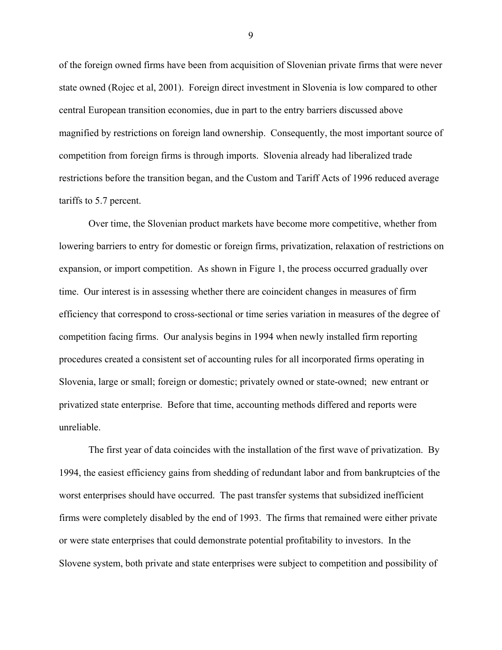of the foreign owned firms have been from acquisition of Slovenian private firms that were never state owned (Rojec et al, 2001). Foreign direct investment in Slovenia is low compared to other central European transition economies, due in part to the entry barriers discussed above magnified by restrictions on foreign land ownership. Consequently, the most important source of competition from foreign firms is through imports. Slovenia already had liberalized trade restrictions before the transition began, and the Custom and Tariff Acts of 1996 reduced average tariffs to 5.7 percent.

Over time, the Slovenian product markets have become more competitive, whether from lowering barriers to entry for domestic or foreign firms, privatization, relaxation of restrictions on expansion, or import competition. As shown in Figure 1, the process occurred gradually over time. Our interest is in assessing whether there are coincident changes in measures of firm efficiency that correspond to cross-sectional or time series variation in measures of the degree of competition facing firms. Our analysis begins in 1994 when newly installed firm reporting procedures created a consistent set of accounting rules for all incorporated firms operating in Slovenia, large or small; foreign or domestic; privately owned or state-owned; new entrant or privatized state enterprise. Before that time, accounting methods differed and reports were unreliable.

The first year of data coincides with the installation of the first wave of privatization. By 1994, the easiest efficiency gains from shedding of redundant labor and from bankruptcies of the worst enterprises should have occurred. The past transfer systems that subsidized inefficient firms were completely disabled by the end of 1993. The firms that remained were either private or were state enterprises that could demonstrate potential profitability to investors. In the Slovene system, both private and state enterprises were subject to competition and possibility of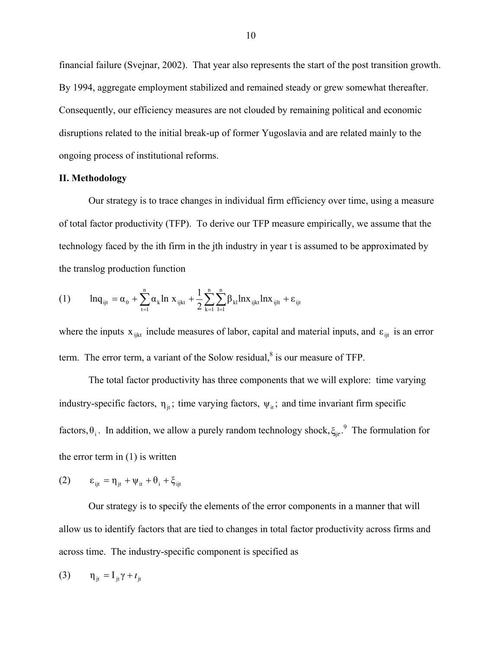financial failure (Svejnar, 2002). That year also represents the start of the post transition growth. By 1994, aggregate employment stabilized and remained steady or grew somewhat thereafter. Consequently, our efficiency measures are not clouded by remaining political and economic disruptions related to the initial break-up of former Yugoslavia and are related mainly to the ongoing process of institutional reforms.

#### **II. Methodology**

Our strategy is to trace changes in individual firm efficiency over time, using a measure of total factor productivity (TFP). To derive our TFP measure empirically, we assume that the technology faced by the ith firm in the jth industry in year t is assumed to be approximated by the translog production function

(1) 
$$
\ln q_{ijt} = \alpha_0 + \sum_{t=1}^{n} \alpha_k \ln x_{ijkt} + \frac{1}{2} \sum_{k=1}^{n} \sum_{l=1}^{n} \beta_{kl} \ln x_{ijkt} \ln x_{ijlt} + \epsilon_{ijt}
$$

where the inputs  $x_{ijk}$  include measures of labor, capital and material inputs, and  $\varepsilon_{ijk}$  is an error term. The error term, a variant of the Solow residual, $\delta$  is our measure of TFP.

The total factor productivity has three components that we will explore: time varying industry-specific factors,  $\eta_{ji}$ ; time varying factors,  $\psi_{ii}$ ; and time invariant firm specific factors,  $\theta_i$ . In addition, we allow a purely random technology shock,  $\xi_{ij}$ .<sup>[9](#page-37-8)</sup> The formulation for the error term in (1) is written

$$
(2) \qquad \epsilon_{ijt} = \eta_{jt} + \psi_{it} + \theta_i + \xi_{ijt}
$$

Our strategy is to specify the elements of the error components in a manner that will allow us to identify factors that are tied to changes in total factor productivity across firms and across time. The industry-specific component is specified as

$$
(3) \qquad \eta_{jt} = I_{jt} \gamma + t_{jt}
$$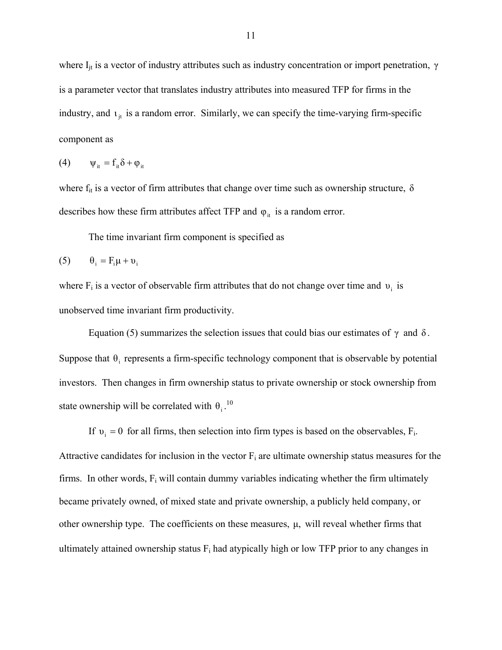where  $I_{it}$  is a vector of industry attributes such as industry concentration or import penetration,  $\gamma$ is a parameter vector that translates industry attributes into measured TFP for firms in the industry, and  $\mathbf{t}_{jt}$  is a random error. Similarly, we can specify the time-varying firm-specific component as

$$
(4) \qquad \psi_{it} = f_{it}\delta + \varphi_{it}
$$

where  $f_{it}$  is a vector of firm attributes that change over time such as ownership structure,  $\delta$ describes how these firm attributes affect TFP and  $\varphi_{it}$  is a random error.

The time invariant firm component is specified as

$$
(5) \qquad \theta_i = F_i \mu + \nu_i
$$

where  $F_i$  is a vector of observable firm attributes that do not change over time and  $v_i$  is unobserved time invariant firm productivity.

Equation (5) summarizes the selection issues that could bias our estimates of  $\gamma$  and δ. Suppose that  $\theta_i$  represents a firm-specific technology component that is observable by potential investors. Then changes in firm ownership status to private ownership or stock ownership from state ownership will be correlated with  $\theta_i$ . [10](#page-37-9)

If  $v_i = 0$  for all firms, then selection into firm types is based on the observables,  $F_i$ . Attractive candidates for inclusion in the vector  $F_i$  are ultimate ownership status measures for the firms. In other words,  $F_i$  will contain dummy variables indicating whether the firm ultimately became privately owned, of mixed state and private ownership, a publicly held company, or other ownership type. The coefficients on these measures,  $\mu$ , will reveal whether firms that ultimately attained ownership status  $F_i$  had atypically high or low TFP prior to any changes in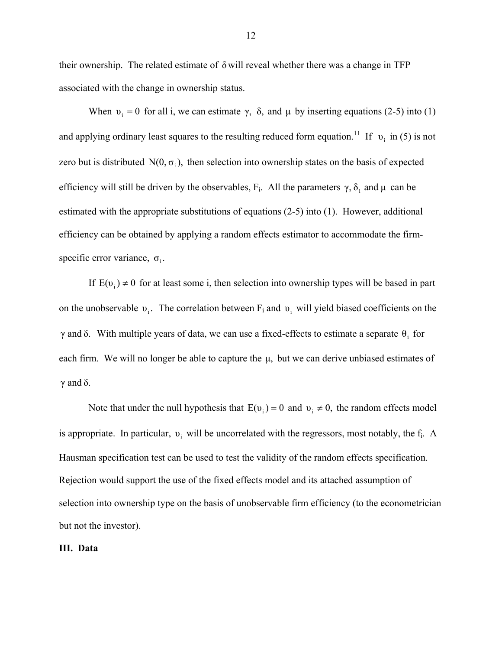their ownership. The related estimate of  $\delta$  will reveal whether there was a change in TFP associated with the change in ownership status.

When  $v_i = 0$  for all i, we can estimate  $\gamma$ ,  $\delta$ , and  $\mu$  by inserting equations (2-5) into (1) and applying ordinary least squares to the resulting reduced form equation.<sup>11</sup> If  $v_i$  in (5) is not zero but is distributed  $N(0, \sigma_i)$ , then selection into ownership states on the basis of expected efficiency will still be driven by the observables,  $F_i$ . All the parameters  $\gamma$ ,  $\delta_1$  and  $\mu$  can be specific error variance,  $\sigma_i$ . estimated with the appropriate substitutions of equations (2-5) into (1). However, additional efficiency can be obtained by applying a random effects estimator to accommodate the firm-

If  $E(v_i) \neq 0$  for at least some i, then selection into ownership types will be based in part on the unobservable  $v_i$ . The correlation between  $F_i$  and  $v_i$  will yield biased coefficients on the  $γ$  and δ. With multiple years of data, we can use a fixed-effects to estimate a separate  $θ$ <sub>i</sub> for each firm. We will no longer be able to capture the  $\mu$ , but we can derive unbiased estimates of  $γ$  and  $δ$ .

Note that under the null hypothesis that  $E(v_i) = 0$  and  $v_i \neq 0$ , the random effects model is appropriate. In particular,  $v_i$  will be uncorrelated with the regressors, most notably, the f<sub>i</sub>. A Hausman specification test can be used to test the validity of the random effects specification. Rejection would support the use of the fixed effects model and its attached assumption of selection into ownership type on the basis of unobservable firm efficiency (to the econometrician but not the investor).

#### **III. Data**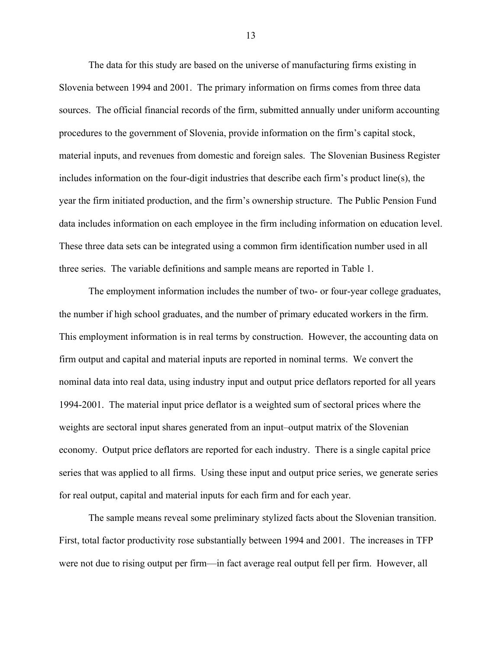The data for this study are based on the universe of manufacturing firms existing in Slovenia between 1994 and 2001. The primary information on firms comes from three data sources. The official financial records of the firm, submitted annually under uniform accounting procedures to the government of Slovenia, provide information on the firm's capital stock, material inputs, and revenues from domestic and foreign sales. The Slovenian Business Register includes information on the four-digit industries that describe each firm's product line(s), the year the firm initiated production, and the firm's ownership structure. The Public Pension Fund data includes information on each employee in the firm including information on education level. These three data sets can be integrated using a common firm identification number used in all three series. The variable definitions and sample means are reported in Table 1.

 The employment information includes the number of two- or four-year college graduates, the number if high school graduates, and the number of primary educated workers in the firm. This employment information is in real terms by construction. However, the accounting data on firm output and capital and material inputs are reported in nominal terms. We convert the nominal data into real data, using industry input and output price deflators reported for all years 1994-2001. The material input price deflator is a weighted sum of sectoral prices where the weights are sectoral input shares generated from an input–output matrix of the Slovenian economy. Output price deflators are reported for each industry. There is a single capital price series that was applied to all firms. Using these input and output price series, we generate series for real output, capital and material inputs for each firm and for each year.

The sample means reveal some preliminary stylized facts about the Slovenian transition. First, total factor productivity rose substantially between 1994 and 2001. The increases in TFP were not due to rising output per firm—in fact average real output fell per firm. However, all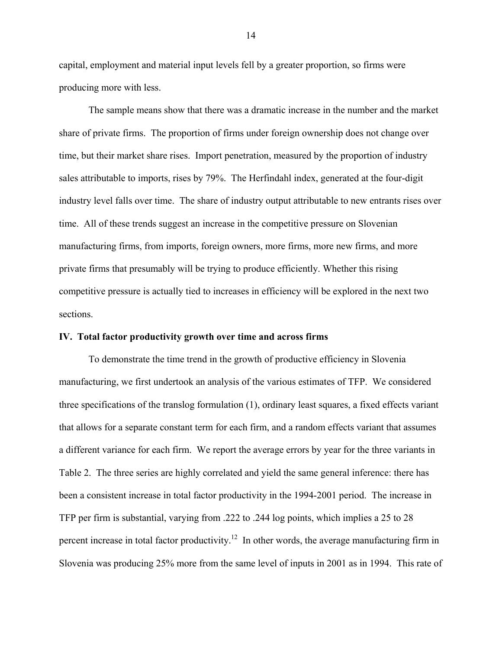capital, employment and material input levels fell by a greater proportion, so firms were producing more with less.

 The sample means show that there was a dramatic increase in the number and the market share of private firms. The proportion of firms under foreign ownership does not change over time, but their market share rises. Import penetration, measured by the proportion of industry sales attributable to imports, rises by 79%. The Herfindahl index, generated at the four-digit industry level falls over time. The share of industry output attributable to new entrants rises over time. All of these trends suggest an increase in the competitive pressure on Slovenian manufacturing firms, from imports, foreign owners, more firms, more new firms, and more private firms that presumably will be trying to produce efficiently. Whether this rising competitive pressure is actually tied to increases in efficiency will be explored in the next two sections.

#### **IV. Total factor productivity growth over time and across firms**

 To demonstrate the time trend in the growth of productive efficiency in Slovenia manufacturing, we first undertook an analysis of the various estimates of TFP. We considered three specifications of the translog formulation (1), ordinary least squares, a fixed effects variant that allows for a separate constant term for each firm, and a random effects variant that assumes a different variance for each firm. We report the average errors by year for the three variants in Table 2. The three series are highly correlated and yield the same general inference: there has been a consistent increase in total factor productivity in the 1994-2001 period. The increase in TFP per firm is substantial, varying from .222 to .244 log points, which implies a 25 to 28 percent increase in total factor productivity.<sup>12</sup> In other words, the average manufacturing firm in Slovenia was producing 25% more from the same level of inputs in 2001 as in 1994. This rate of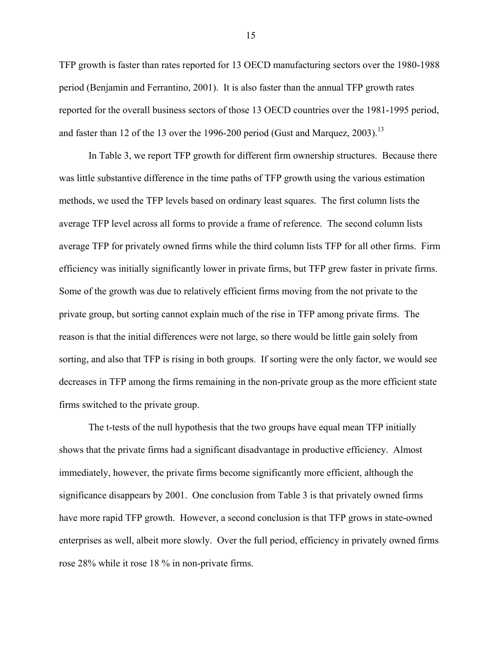TFP growth is faster than rates reported for 13 OECD manufacturing sectors over the 1980-1988 period (Benjamin and Ferrantino, 2001). It is also faster than the annual TFP growth rates reported for the overall business sectors of those 13 OECD countries over the 1981-1995 period, and faster than 12 of the [13](#page-37-12) over the 1996-200 period (Gust and Marquez, 2003).<sup>13</sup>

 In Table 3, we report TFP growth for different firm ownership structures. Because there was little substantive difference in the time paths of TFP growth using the various estimation methods, we used the TFP levels based on ordinary least squares. The first column lists the average TFP level across all forms to provide a frame of reference. The second column lists average TFP for privately owned firms while the third column lists TFP for all other firms. Firm efficiency was initially significantly lower in private firms, but TFP grew faster in private firms. Some of the growth was due to relatively efficient firms moving from the not private to the private group, but sorting cannot explain much of the rise in TFP among private firms. The reason is that the initial differences were not large, so there would be little gain solely from sorting, and also that TFP is rising in both groups. If sorting were the only factor, we would see decreases in TFP among the firms remaining in the non-private group as the more efficient state firms switched to the private group.

 The t-tests of the null hypothesis that the two groups have equal mean TFP initially shows that the private firms had a significant disadvantage in productive efficiency. Almost immediately, however, the private firms become significantly more efficient, although the significance disappears by 2001. One conclusion from Table 3 is that privately owned firms have more rapid TFP growth. However, a second conclusion is that TFP grows in state-owned enterprises as well, albeit more slowly. Over the full period, efficiency in privately owned firms rose 28% while it rose 18 % in non-private firms.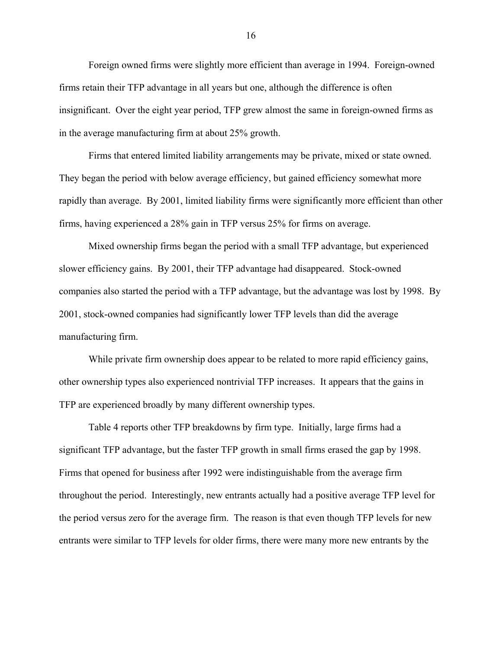Foreign owned firms were slightly more efficient than average in 1994. Foreign-owned firms retain their TFP advantage in all years but one, although the difference is often insignificant. Over the eight year period, TFP grew almost the same in foreign-owned firms as in the average manufacturing firm at about 25% growth.

 Firms that entered limited liability arrangements may be private, mixed or state owned. They began the period with below average efficiency, but gained efficiency somewhat more rapidly than average. By 2001, limited liability firms were significantly more efficient than other firms, having experienced a 28% gain in TFP versus 25% for firms on average.

 Mixed ownership firms began the period with a small TFP advantage, but experienced slower efficiency gains. By 2001, their TFP advantage had disappeared. Stock-owned companies also started the period with a TFP advantage, but the advantage was lost by 1998. By 2001, stock-owned companies had significantly lower TFP levels than did the average manufacturing firm.

 While private firm ownership does appear to be related to more rapid efficiency gains, other ownership types also experienced nontrivial TFP increases. It appears that the gains in TFP are experienced broadly by many different ownership types.

 Table 4 reports other TFP breakdowns by firm type. Initially, large firms had a significant TFP advantage, but the faster TFP growth in small firms erased the gap by 1998. Firms that opened for business after 1992 were indistinguishable from the average firm throughout the period. Interestingly, new entrants actually had a positive average TFP level for the period versus zero for the average firm. The reason is that even though TFP levels for new entrants were similar to TFP levels for older firms, there were many more new entrants by the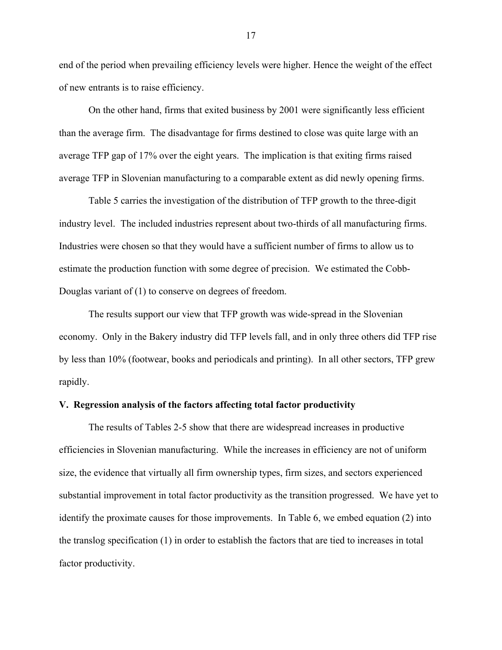end of the period when prevailing efficiency levels were higher. Hence the weight of the effect of new entrants is to raise efficiency.

 On the other hand, firms that exited business by 2001 were significantly less efficient than the average firm. The disadvantage for firms destined to close was quite large with an average TFP gap of 17% over the eight years. The implication is that exiting firms raised average TFP in Slovenian manufacturing to a comparable extent as did newly opening firms.

 Table 5 carries the investigation of the distribution of TFP growth to the three-digit industry level. The included industries represent about two-thirds of all manufacturing firms. Industries were chosen so that they would have a sufficient number of firms to allow us to estimate the production function with some degree of precision. We estimated the Cobb-Douglas variant of (1) to conserve on degrees of freedom.

 The results support our view that TFP growth was wide-spread in the Slovenian economy. Only in the Bakery industry did TFP levels fall, and in only three others did TFP rise by less than 10% (footwear, books and periodicals and printing). In all other sectors, TFP grew rapidly.

#### **V. Regression analysis of the factors affecting total factor productivity**

 The results of Tables 2-5 show that there are widespread increases in productive efficiencies in Slovenian manufacturing. While the increases in efficiency are not of uniform size, the evidence that virtually all firm ownership types, firm sizes, and sectors experienced substantial improvement in total factor productivity as the transition progressed. We have yet to identify the proximate causes for those improvements. In Table 6, we embed equation (2) into the translog specification (1) in order to establish the factors that are tied to increases in total factor productivity.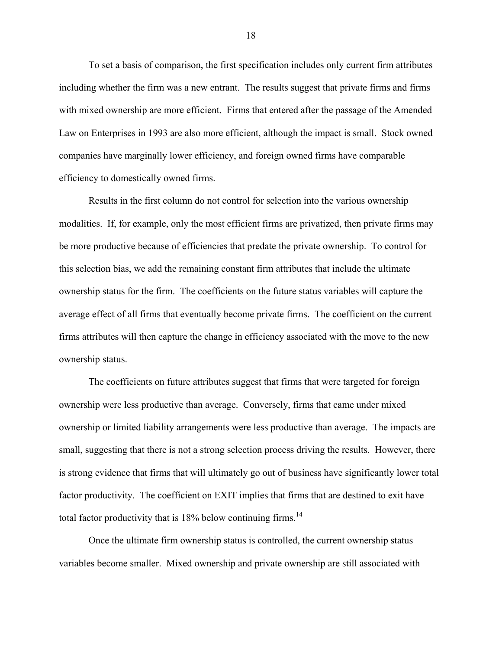To set a basis of comparison, the first specification includes only current firm attributes including whether the firm was a new entrant. The results suggest that private firms and firms with mixed ownership are more efficient. Firms that entered after the passage of the Amended Law on Enterprises in 1993 are also more efficient, although the impact is small. Stock owned companies have marginally lower efficiency, and foreign owned firms have comparable efficiency to domestically owned firms.

 Results in the first column do not control for selection into the various ownership modalities. If, for example, only the most efficient firms are privatized, then private firms may be more productive because of efficiencies that predate the private ownership. To control for this selection bias, we add the remaining constant firm attributes that include the ultimate ownership status for the firm. The coefficients on the future status variables will capture the average effect of all firms that eventually become private firms. The coefficient on the current firms attributes will then capture the change in efficiency associated with the move to the new ownership status.

 The coefficients on future attributes suggest that firms that were targeted for foreign ownership were less productive than average. Conversely, firms that came under mixed ownership or limited liability arrangements were less productive than average. The impacts are small, suggesting that there is not a strong selection process driving the results. However, there is strong evidence that firms that will ultimately go out of business have significantly lower total factor productivity. The coefficient on EXIT implies that firms that are destined to exit have total factor productivity that is  $18\%$  below continuing firms.<sup>[14](#page-37-13)</sup>

 Once the ultimate firm ownership status is controlled, the current ownership status variables become smaller. Mixed ownership and private ownership are still associated with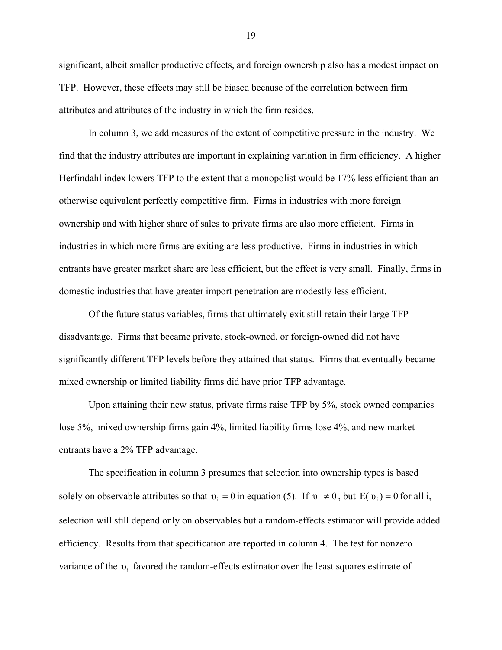significant, albeit smaller productive effects, and foreign ownership also has a modest impact on TFP. However, these effects may still be biased because of the correlation between firm attributes and attributes of the industry in which the firm resides.

In column 3, we add measures of the extent of competitive pressure in the industry. We find that the industry attributes are important in explaining variation in firm efficiency. A higher Herfindahl index lowers TFP to the extent that a monopolist would be 17% less efficient than an otherwise equivalent perfectly competitive firm. Firms in industries with more foreign ownership and with higher share of sales to private firms are also more efficient. Firms in industries in which more firms are exiting are less productive. Firms in industries in which entrants have greater market share are less efficient, but the effect is very small. Finally, firms in domestic industries that have greater import penetration are modestly less efficient.

Of the future status variables, firms that ultimately exit still retain their large TFP disadvantage. Firms that became private, stock-owned, or foreign-owned did not have significantly different TFP levels before they attained that status. Firms that eventually became mixed ownership or limited liability firms did have prior TFP advantage.

Upon attaining their new status, private firms raise TFP by 5%, stock owned companies lose 5%, mixed ownership firms gain 4%, limited liability firms lose 4%, and new market entrants have a 2% TFP advantage.

The specification in column 3 presumes that selection into ownership types is based solely on observable attributes so that  $v_i = 0$  in equation (5). If  $v_i \neq 0$ , but  $E(v_i) = 0$  for all i, selection will still depend only on observables but a random-effects estimator will provide added efficiency. Results from that specification are reported in column 4. The test for nonzero variance of the  $v_i$  favored the random-effects estimator over the least squares estimate of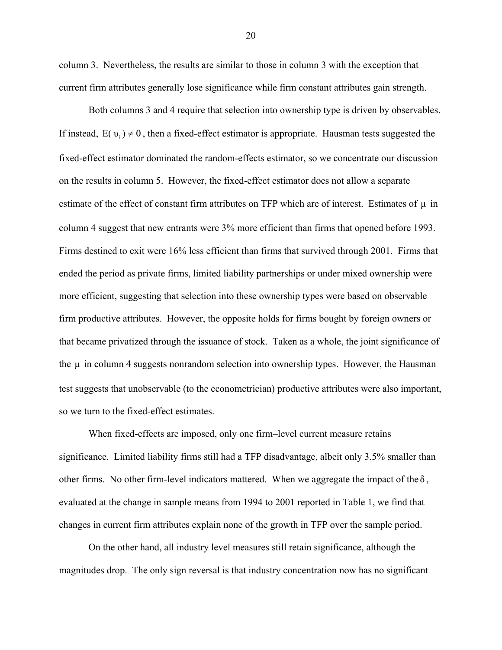column 3. Nevertheless, the results are similar to those in column 3 with the exception that current firm attributes generally lose significance while firm constant attributes gain strength.

Both columns 3 and 4 require that selection into ownership type is driven by observables. If instead,  $E(v_i) \neq 0$ , then a fixed-effect estimator is appropriate. Hausman tests suggested the fixed-effect estimator dominated the random-effects estimator, so we concentrate our discussion on the results in column 5. However, the fixed-effect estimator does not allow a separate estimate of the effect of constant firm attributes on TFP which are of interest. Estimates of  $\mu$  in column 4 suggest that new entrants were 3% more efficient than firms that opened before 1993. Firms destined to exit were 16% less efficient than firms that survived through 2001. Firms that ended the period as private firms, limited liability partnerships or under mixed ownership were more efficient, suggesting that selection into these ownership types were based on observable firm productive attributes. However, the opposite holds for firms bought by foreign owners or that became privatized through the issuance of stock. Taken as a whole, the joint significance of the  $\mu$  in column 4 suggests nonrandom selection into ownership types. However, the Hausman test suggests that unobservable (to the econometrician) productive attributes were also important, so we turn to the fixed-effect estimates.

When fixed-effects are imposed, only one firm–level current measure retains significance. Limited liability firms still had a TFP disadvantage, albeit only 3.5% smaller than other firms. No other firm-level indicators mattered. When we aggregate the impact of the  $\delta$ , evaluated at the change in sample means from 1994 to 2001 reported in Table 1, we find that changes in current firm attributes explain none of the growth in TFP over the sample period.

On the other hand, all industry level measures still retain significance, although the magnitudes drop. The only sign reversal is that industry concentration now has no significant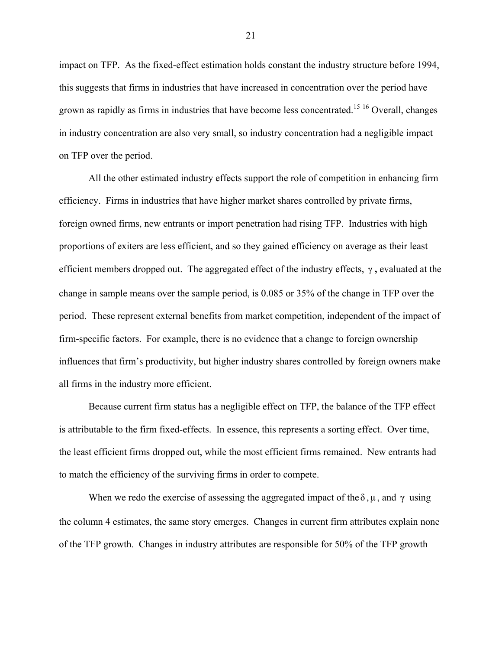impact on TFP. As the fixed-effect estimation holds constant the industry structure before 1994, this suggests that firms in industries that have increased in concentration over the period have grown as rapidly as firms in industries that have become less concentrated.[15](#page-37-14) [16](#page-37-15) Overall, changes in industry concentration are also very small, so industry concentration had a negligible impact on TFP over the period.

All the other estimated industry effects support the role of competition in enhancing firm efficiency. Firms in industries that have higher market shares controlled by private firms, foreign owned firms, new entrants or import penetration had rising TFP. Industries with high proportions of exiters are less efficient, and so they gained efficiency on average as their least efficient members dropped out. The aggregated effect of the industry effects,  $\gamma$ , evaluated at the change in sample means over the sample period, is 0.085 or 35% of the change in TFP over the period. These represent external benefits from market competition, independent of the impact of firm-specific factors. For example, there is no evidence that a change to foreign ownership influences that firm's productivity, but higher industry shares controlled by foreign owners make all firms in the industry more efficient.

Because current firm status has a negligible effect on TFP, the balance of the TFP effect is attributable to the firm fixed-effects. In essence, this represents a sorting effect. Over time, the least efficient firms dropped out, while the most efficient firms remained. New entrants had to match the efficiency of the surviving firms in order to compete.

When we redo the exercise of assessing the aggregated impact of the  $\delta, \mu$ , and  $\gamma$  using the column 4 estimates, the same story emerges. Changes in current firm attributes explain none of the TFP growth. Changes in industry attributes are responsible for 50% of the TFP growth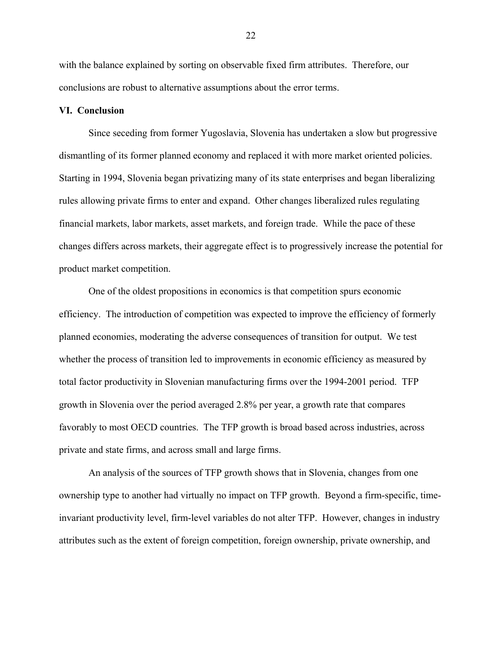with the balance explained by sorting on observable fixed firm attributes. Therefore, our conclusions are robust to alternative assumptions about the error terms.

#### **VI. Conclusion**

Since seceding from former Yugoslavia, Slovenia has undertaken a slow but progressive dismantling of its former planned economy and replaced it with more market oriented policies. Starting in 1994, Slovenia began privatizing many of its state enterprises and began liberalizing rules allowing private firms to enter and expand. Other changes liberalized rules regulating financial markets, labor markets, asset markets, and foreign trade. While the pace of these changes differs across markets, their aggregate effect is to progressively increase the potential for product market competition.

One of the oldest propositions in economics is that competition spurs economic efficiency. The introduction of competition was expected to improve the efficiency of formerly planned economies, moderating the adverse consequences of transition for output. We test whether the process of transition led to improvements in economic efficiency as measured by total factor productivity in Slovenian manufacturing firms over the 1994-2001 period. TFP growth in Slovenia over the period averaged 2.8% per year, a growth rate that compares favorably to most OECD countries. The TFP growth is broad based across industries, across private and state firms, and across small and large firms.

An analysis of the sources of TFP growth shows that in Slovenia, changes from one ownership type to another had virtually no impact on TFP growth. Beyond a firm-specific, timeinvariant productivity level, firm-level variables do not alter TFP. However, changes in industry attributes such as the extent of foreign competition, foreign ownership, private ownership, and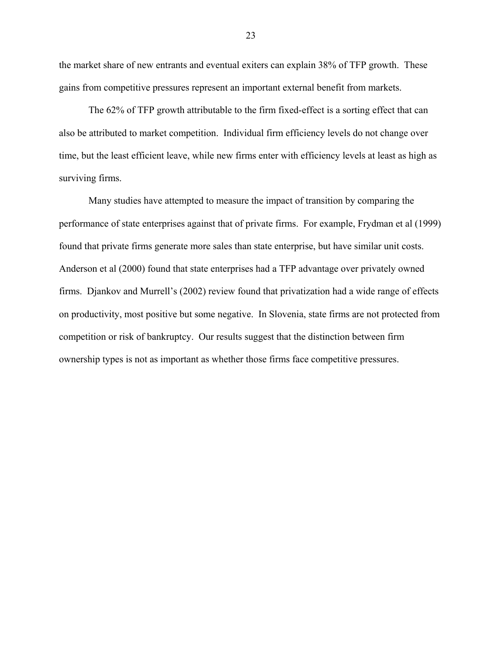the market share of new entrants and eventual exiters can explain 38% of TFP growth. These gains from competitive pressures represent an important external benefit from markets.

The 62% of TFP growth attributable to the firm fixed-effect is a sorting effect that can also be attributed to market competition. Individual firm efficiency levels do not change over time, but the least efficient leave, while new firms enter with efficiency levels at least as high as surviving firms.

Many studies have attempted to measure the impact of transition by comparing the performance of state enterprises against that of private firms. For example, Frydman et al (1999) found that private firms generate more sales than state enterprise, but have similar unit costs. Anderson et al (2000) found that state enterprises had a TFP advantage over privately owned firms. Djankov and Murrell's (2002) review found that privatization had a wide range of effects on productivity, most positive but some negative. In Slovenia, state firms are not protected from competition or risk of bankruptcy. Our results suggest that the distinction between firm ownership types is not as important as whether those firms face competitive pressures.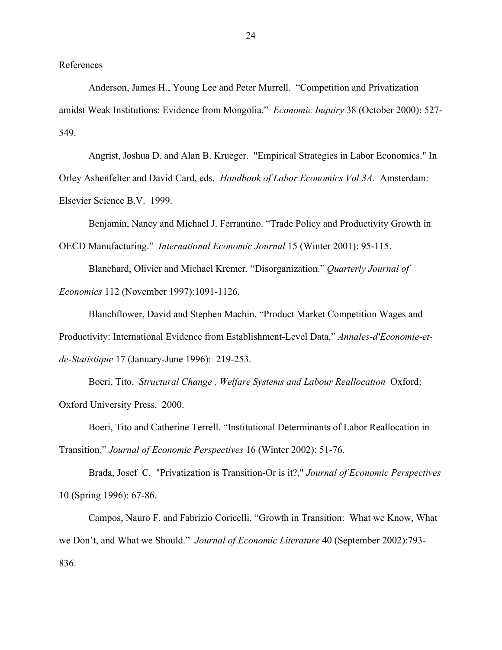References

 Anderson, James H., Young Lee and Peter Murrell. "Competition and Privatization amidst Weak Institutions: Evidence from Mongolia." *Economic Inquiry* 38 (October 2000): 527- 549.

 Angrist, Joshua D. and Alan B. Krueger. "Empirical Strategies in Labor Economics." In Orley Ashenfelter and David Card, eds. *Handbook of Labor Economics Vol 3A.* Amsterdam: Elsevier Science B.V. 1999.

Benjamin, Nancy and Michael J. Ferrantino. "Trade Policy and Productivity Growth in OECD Manufacturing." *International Economic Journal* 15 (Winter 2001): 95-115.

Blanchard, Olivier and Michael Kremer. "Disorganization." *Quarterly Journal of Economics* 112 (November 1997):1091-1126.

Blanchflower, David and Stephen Machin. "Product Market Competition Wages and Productivity: International Evidence from Establishment-Level Data." *Annales-d'Economie-etde-Statistique* 17 (January-June 1996): 219-253.

Boeri, Tito. *Structural Change , Welfare Systems and Labour Reallocation* Oxford: Oxford University Press. 2000.

Boeri, Tito and Catherine Terrell. "Institutional Determinants of Labor Reallocation in Transition." *Journal of Economic Perspectives* 16 (Winter 2002): 51-76.

Brada, Josef C. "Privatization is Transition-Or is it?," *Journal of Economic Perspectives* 10 (Spring 1996): 67-86.

Campos, Nauro F. and Fabrizio Coricelli. "Growth in Transition: What we Know, What we Don't, and What we Should." *Journal of Economic Literature* 40 (September 2002):793- 836.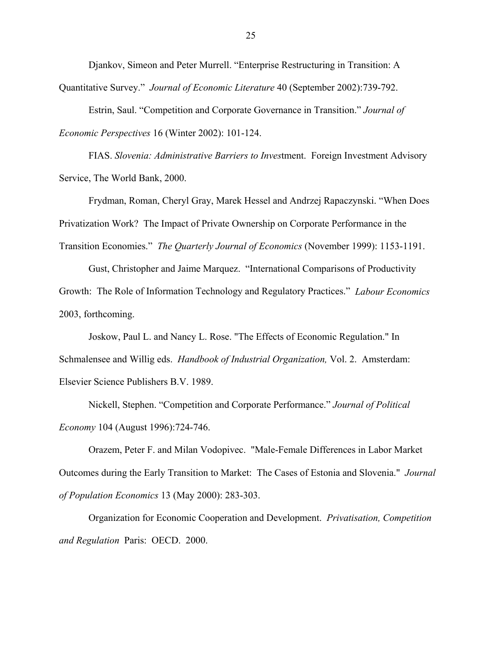Djankov, Simeon and Peter Murrell. "Enterprise Restructuring in Transition: A Quantitative Survey." *Journal of Economic Literature* 40 (September 2002):739-792.

Estrin, Saul. "Competition and Corporate Governance in Transition." *Journal of Economic Perspectives* 16 (Winter 2002): 101-124.

FIAS. *Slovenia: Administrative Barriers to Inves*tment. Foreign Investment Advisory Service, The World Bank, 2000.

Frydman, Roman, Cheryl Gray, Marek Hessel and Andrzej Rapaczynski. "When Does Privatization Work? The Impact of Private Ownership on Corporate Performance in the Transition Economies." *The Quarterly Journal of Economics* (November 1999): 1153-1191.

Gust, Christopher and Jaime Marquez. "International Comparisons of Productivity Growth: The Role of Information Technology and Regulatory Practices." *Labour Economics* 2003, forthcoming.

Joskow, Paul L. and Nancy L. Rose. "The Effects of Economic Regulation." In Schmalensee and Willig eds. *Handbook of Industrial Organization,* Vol. 2. Amsterdam: Elsevier Science Publishers B.V. 1989.

Nickell, Stephen. "Competition and Corporate Performance." *Journal of Political Economy* 104 (August 1996):724-746.

Orazem, Peter F. and Milan Vodopivec. "Male-Female Differences in Labor Market Outcomes during the Early Transition to Market: The Cases of Estonia and Slovenia." *Journal of Population Economics* 13 (May 2000): 283-303.

Organization for Economic Cooperation and Development. *Privatisation, Competition and Regulation* Paris: OECD. 2000.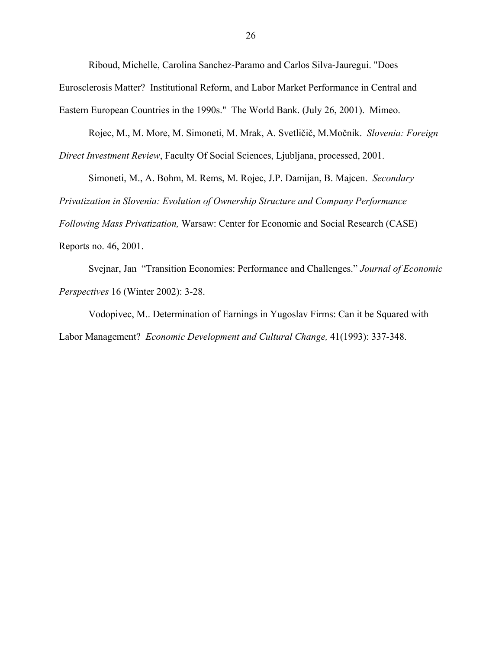Riboud, Michelle, Carolina Sanchez-Paramo and Carlos Silva-Jauregui. "Does Eurosclerosis Matter? Institutional Reform, and Labor Market Performance in Central and Eastern European Countries in the 1990s." The World Bank. (July 26, 2001). Mimeo.

Rojec, M., M. More, M. Simoneti, M. Mrak, A. Svetličič, M.Močnik. *Slovenia: Foreign Direct Investment Review*, Faculty Of Social Sciences, Ljubljana, processed, 2001.

Simoneti, M., A. Bohm, M. Rems, M. Rojec, J.P. Damijan, B. Majcen. *Secondary* 

*Privatization in Slovenia: Evolution of Ownership Structure and Company Performance* 

*Following Mass Privatization,* Warsaw: Center for Economic and Social Research (CASE)

Reports no. 46, 2001.

Svejnar, Jan "Transition Economies: Performance and Challenges." *Journal of Economic Perspectives* 16 (Winter 2002): 3-28.

Vodopivec, M.. Determination of Earnings in Yugoslav Firms: Can it be Squared with Labor Management? *Economic Development and Cultural Change,* 41(1993): 337-348.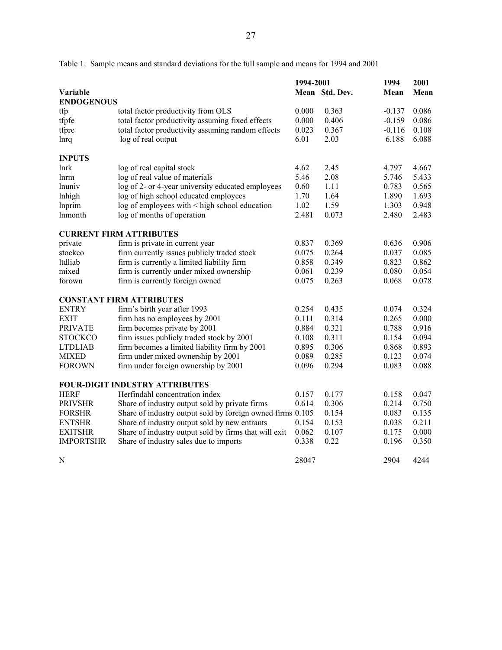Table 1: Sample means and standard deviations for the full sample and means for 1994 and 2001

|                   |                                                            | 1994-2001 |                | 1994     | 2001  |  |
|-------------------|------------------------------------------------------------|-----------|----------------|----------|-------|--|
| Variable          |                                                            |           | Mean Std. Dev. | Mean     | Mean  |  |
| <b>ENDOGENOUS</b> |                                                            |           |                |          |       |  |
| tfp               | total factor productivity from OLS                         | 0.000     | 0.363          | $-0.137$ | 0.086 |  |
| tfpfe             | total factor productivity assuming fixed effects           | 0.000     | 0.406          | $-0.159$ | 0.086 |  |
| tfpre             | total factor productivity assuming random effects          | 0.023     | 0.367          | $-0.116$ | 0.108 |  |
| lnrq              | log of real output                                         | 6.01      | 2.03           | 6.188    | 6.088 |  |
| <b>INPUTS</b>     |                                                            |           |                |          |       |  |
| lnrk              | log of real capital stock                                  | 4.62      | 2.45           | 4.797    | 4.667 |  |
| lnrm              | log of real value of materials                             | 5.46      | 2.08           | 5.746    | 5.433 |  |
| lnuniv            | log of 2- or 4-year university educated employees          | 0.60      | 1.11           | 0.783    | 0.565 |  |
| lnhigh            | log of high school educated employees                      | 1.70      | 1.64           | 1.890    | 1.693 |  |
| <b>Inprim</b>     | log of employees with < high school education              | 1.02      | 1.59           | 1.303    | 0.948 |  |
| lnmonth           | log of months of operation                                 | 2.481     | 0.073          | 2.480    | 2.483 |  |
|                   | <b>CURRENT FIRM ATTRIBUTES</b>                             |           |                |          |       |  |
| private           | firm is private in current year                            | 0.837     | 0.369          | 0.636    | 0.906 |  |
| stockco           | firm currently issues publicly traded stock                | 0.075     | 0.264          | 0.037    | 0.085 |  |
| ltdliab           | firm is currently a limited liability firm                 | 0.858     | 0.349          | 0.823    | 0.862 |  |
| mixed             | firm is currently under mixed ownership                    | 0.061     | 0.239          | 0.080    | 0.054 |  |
| forown            | firm is currently foreign owned                            | 0.075     | 0.263          | 0.068    | 0.078 |  |
|                   | <b>CONSTANT FIRM ATTRIBUTES</b>                            |           |                |          |       |  |
| <b>ENTRY</b>      | firm's birth year after 1993                               | 0.254     | 0.435          | 0.074    | 0.324 |  |
| <b>EXIT</b>       | firm has no employees by 2001                              | 0.111     | 0.314          | 0.265    | 0.000 |  |
| <b>PRIVATE</b>    | firm becomes private by 2001                               | 0.884     | 0.321          | 0.788    | 0.916 |  |
| <b>STOCKCO</b>    | firm issues publicly traded stock by 2001                  | 0.108     | 0.311          | 0.154    | 0.094 |  |
| <b>LTDLIAB</b>    | firm becomes a limited liability firm by 2001              | 0.895     | 0.306          | 0.868    | 0.893 |  |
| <b>MIXED</b>      | firm under mixed ownership by 2001                         | 0.089     | 0.285          | 0.123    | 0.074 |  |
| <b>FOROWN</b>     | firm under foreign ownership by 2001                       | 0.096     | 0.294          | 0.083    | 0.088 |  |
|                   | <b>FOUR-DIGIT INDUSTRY ATTRIBUTES</b>                      |           |                |          |       |  |
| <b>HERF</b>       | Herfindahl concentration index                             | 0.157     | 0.177          | 0.158    | 0.047 |  |
| <b>PRIVSHR</b>    | Share of industry output sold by private firms             | 0.614     | 0.306          | 0.214    | 0.750 |  |
| <b>FORSHR</b>     | Share of industry output sold by foreign owned firms 0.105 |           | 0.154          | 0.083    | 0.135 |  |
| <b>ENTSHR</b>     | Share of industry output sold by new entrants              | 0.154     | 0.153          | 0.038    | 0.211 |  |
| <b>EXITSHR</b>    | Share of industry output sold by firms that will exit      | 0.062     | 0.107          | 0.175    | 0.000 |  |
| <b>IMPORTSHR</b>  | Share of industry sales due to imports                     | 0.338     | 0.22           | 0.196    | 0.350 |  |
| N                 |                                                            | 28047     |                | 2904     | 4244  |  |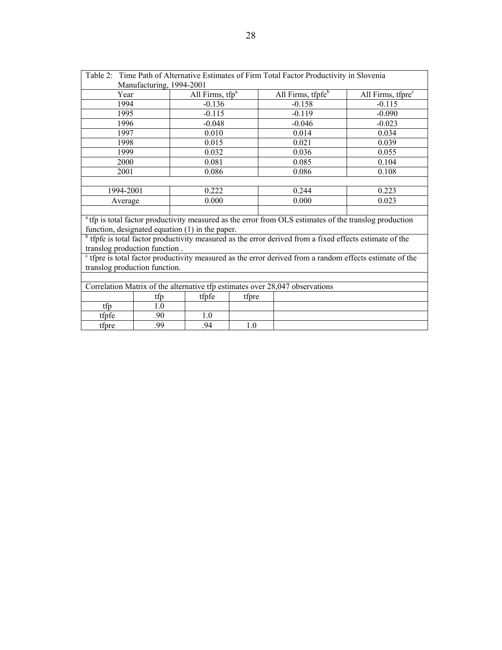|                                                                                                                     |                               | Table 2: Time Path of Alternative Estimates of Firm Total Factor Productivity in Slovenia                         |                               |  |  |  |  |
|---------------------------------------------------------------------------------------------------------------------|-------------------------------|-------------------------------------------------------------------------------------------------------------------|-------------------------------|--|--|--|--|
| Manufacturing, 1994-2001                                                                                            |                               |                                                                                                                   |                               |  |  |  |  |
| Year                                                                                                                | All Firms, $tfp^a$            | All Firms, tfpfe <sup>b</sup>                                                                                     | All Firms, tfpre <sup>c</sup> |  |  |  |  |
| 1994                                                                                                                | $-0.136$                      | $-0.158$                                                                                                          | $-0.115$                      |  |  |  |  |
| 1995                                                                                                                | $-0.115$                      | $-0.119$                                                                                                          | $-0.090$                      |  |  |  |  |
| 1996                                                                                                                | $-0.048$                      | $-0.046$                                                                                                          | $-0.023$                      |  |  |  |  |
| 1997                                                                                                                | 0.010                         | 0.014                                                                                                             | 0.034                         |  |  |  |  |
| 1998                                                                                                                | 0.015                         | 0.021                                                                                                             | 0.039                         |  |  |  |  |
| 1999                                                                                                                | 0.032                         | 0.036                                                                                                             | 0.055                         |  |  |  |  |
| 2000                                                                                                                | 0.081                         | 0.085                                                                                                             | 0.104                         |  |  |  |  |
| 2001                                                                                                                | 0.086                         | 0.086                                                                                                             | 0.108                         |  |  |  |  |
|                                                                                                                     |                               |                                                                                                                   |                               |  |  |  |  |
| 1994-2001                                                                                                           | 0.222                         | 0.244                                                                                                             | 0.223                         |  |  |  |  |
| Average                                                                                                             | 0.000                         | 0.000                                                                                                             | 0.023                         |  |  |  |  |
|                                                                                                                     |                               |                                                                                                                   |                               |  |  |  |  |
|                                                                                                                     |                               | <sup>a</sup> tfp is total factor productivity measured as the error from OLS estimates of the translog production |                               |  |  |  |  |
| function, designated equation (1) in the paper.                                                                     |                               |                                                                                                                   |                               |  |  |  |  |
|                                                                                                                     |                               | $\rm^{b}$ tfpfe is total factor productivity measured as the error derived from a fixed effects estimate of the   |                               |  |  |  |  |
| translog production function.                                                                                       |                               |                                                                                                                   |                               |  |  |  |  |
| <sup>c</sup> tfpre is total factor productivity measured as the error derived from a random effects estimate of the |                               |                                                                                                                   |                               |  |  |  |  |
|                                                                                                                     | translog production function. |                                                                                                                   |                               |  |  |  |  |
|                                                                                                                     |                               |                                                                                                                   |                               |  |  |  |  |

| Correlation Matrix of the alternative tfp estimates over 28,047 observations |     |       |       |  |  |  |
|------------------------------------------------------------------------------|-----|-------|-------|--|--|--|
|                                                                              | tfp | tfpfe | tfore |  |  |  |
| ttn                                                                          |     |       |       |  |  |  |
| tfofe                                                                        | 90  |       |       |  |  |  |
| tfpre                                                                        | 99  | 94    |       |  |  |  |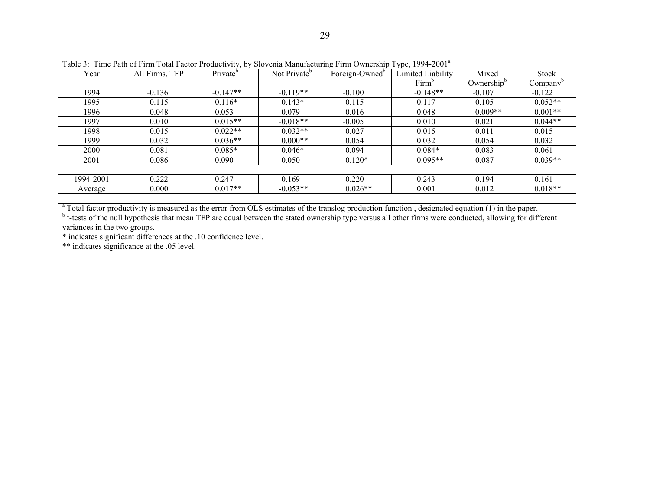| Table 3: Time Path of Firm Total Factor Productivity, by Slovenia Manufacturing Firm Ownership Type, 1994-2001 <sup>a</sup> |                |                      |                          |                            |                   |                        |                      |
|-----------------------------------------------------------------------------------------------------------------------------|----------------|----------------------|--------------------------|----------------------------|-------------------|------------------------|----------------------|
| Year                                                                                                                        | All Firms, TFP | Private <sup>b</sup> | Not Private <sup>b</sup> | Foreign-Owned <sup>b</sup> | Limited Liability | Mixed                  | <b>Stock</b>         |
|                                                                                                                             |                |                      |                          |                            | Firm <sup>b</sup> | Ownership <sup>b</sup> | Company <sup>b</sup> |
| 1994                                                                                                                        | $-0.136$       | $-0.147**$           | $-0.119**$               | $-0.100$                   | $-0.148**$        | $-0.107$               | $-0.122$             |
| 1995                                                                                                                        | $-0.115$       | $-0.116*$            | $-0.143*$                | $-0.115$                   | $-0.117$          | $-0.105$               | $-0.052**$           |
| 1996                                                                                                                        | $-0.048$       | $-0.053$             | $-0.079$                 | $-0.016$                   | $-0.048$          | $0.009**$              | $-0.001**$           |
| 1997                                                                                                                        | 0.010          | $0.015**$            | $-0.018**$               | $-0.005$                   | 0.010             | 0.021                  | $0.044**$            |
| 1998                                                                                                                        | 0.015          | $0.022**$            | $-0.032**$               | 0.027                      | 0.015             | 0.011                  | 0.015                |
| 1999                                                                                                                        | 0.032          | $0.036**$            | $0.000**$                | 0.054                      | 0.032             | 0.054                  | 0.032                |
| 2000                                                                                                                        | 0.081          | $0.085*$             | $0.046*$                 | 0.094                      | $0.084*$          | 0.083                  | 0.061                |
| 2001                                                                                                                        | 0.086          | 0.090                | 0.050                    | $0.120*$                   | $0.095**$         | 0.087                  | $0.039**$            |
|                                                                                                                             |                |                      |                          |                            |                   |                        |                      |
| 1994-2001                                                                                                                   | 0.222          | 0.247                | 0.169                    | 0.220                      | 0.243             | 0.194                  | 0.161                |
| Average                                                                                                                     | 0.000          | $0.017**$            | $-0.053**$               | $0.026**$                  | 0.001             | 0.012                  | $0.018**$            |
|                                                                                                                             |                |                      |                          |                            |                   |                        |                      |

<sup>a</sup> Total factor productivity is measured as the error from OLS estimates of the translog production function, designated equation (1) in the paper.

<sup>b</sup> t-tests of the null hypothesis that mean TFP are equal between the stated ownership type versus all other firms were conducted, allowing for different variances in the two groups.

\* indicates significant differences at the .10 confidence level.

\*\* indicates significance at the .05 level.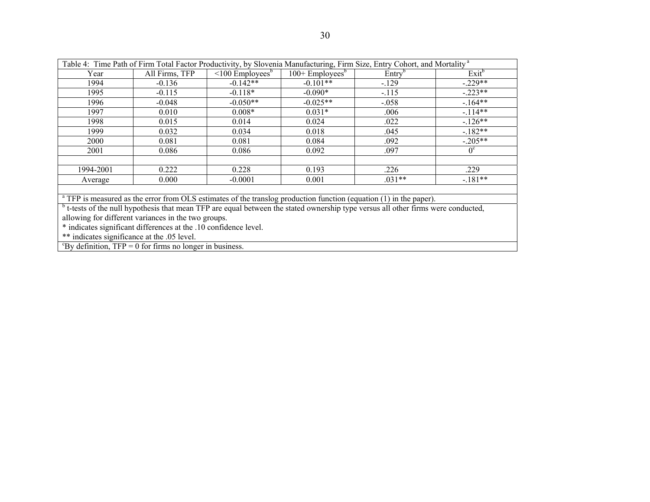| Table 4: Time Path of Firm Total Factor Productivity, by Slovenia Manufacturing, Firm Size, Entry Cohort, and Mortality <sup>a</sup>         |                                                     |                                   |                                |                    |             |  |  |  |
|----------------------------------------------------------------------------------------------------------------------------------------------|-----------------------------------------------------|-----------------------------------|--------------------------------|--------------------|-------------|--|--|--|
| Year                                                                                                                                         | All Firms, TFP                                      | $\leq 100$ Employees <sup>b</sup> | $100 +$ Employees <sup>b</sup> | Entry <sup>b</sup> | $Exit^b$    |  |  |  |
| 1994                                                                                                                                         | $-0.136$                                            | $-0.142**$                        | $-0.101**$                     | $-.129$            | $-.229**$   |  |  |  |
| 1995                                                                                                                                         | $-0.115$                                            | $-0.118*$                         | $-0.090*$                      | $-115$             | $-.223**$   |  |  |  |
| 1996                                                                                                                                         | $-0.048$                                            | $-0.050**$                        | $-0.025**$                     | $-.058$            | $-164**$    |  |  |  |
| 1997                                                                                                                                         | 0.010                                               | $0.008*$                          | $0.031*$                       | .006               | $-114**$    |  |  |  |
| 1998                                                                                                                                         | 0.015                                               | 0.014                             | 0.024                          | .022               | $-126**$    |  |  |  |
| 1999                                                                                                                                         | 0.032                                               | 0.034                             | 0.018                          | .045               | $-182**$    |  |  |  |
| 2000                                                                                                                                         | 0.081                                               | 0.081                             | 0.084                          | .092               | $-.205**$   |  |  |  |
| 2001                                                                                                                                         | 0.086                                               | 0.086                             | 0.092                          | .097               | $0^{\circ}$ |  |  |  |
|                                                                                                                                              |                                                     |                                   |                                |                    |             |  |  |  |
| 1994-2001                                                                                                                                    | 0.222                                               | 0.228                             | 0.193                          | .226               | .229        |  |  |  |
| Average                                                                                                                                      | 0.000                                               | $-0.0001$                         | 0.001                          | $.031**$           | $-181**$    |  |  |  |
|                                                                                                                                              |                                                     |                                   |                                |                    |             |  |  |  |
| <sup>a</sup> TFP is measured as the error from OLS estimates of the translog production function (equation (1) in the paper).                |                                                     |                                   |                                |                    |             |  |  |  |
| <sup>b</sup> t-tests of the null hypothesis that mean TFP are equal between the stated ownership type versus all other firms were conducted, |                                                     |                                   |                                |                    |             |  |  |  |
|                                                                                                                                              | allowing for different variances in the two groups. |                                   |                                |                    |             |  |  |  |

\* indicates significant differences at the .10 confidence level.

\*\* indicates significance at the .05 level.

 ${}^c$ By definition, TFP = 0 for firms no longer in business.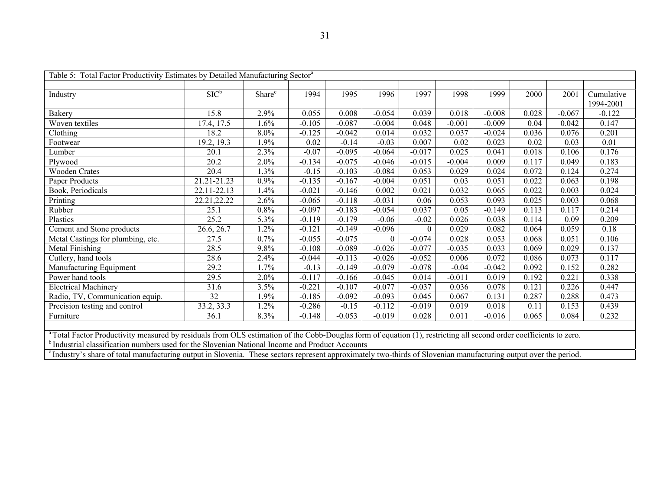| Table 5: Total Factor Productivity Estimates by Detailed Manufacturing Sector <sup>a</sup>                                                                                    |             |                    |          |          |          |          |          |          |       |          |                         |
|-------------------------------------------------------------------------------------------------------------------------------------------------------------------------------|-------------|--------------------|----------|----------|----------|----------|----------|----------|-------|----------|-------------------------|
| Industry                                                                                                                                                                      | $SIC^b$     | Share <sup>c</sup> | 1994     | 1995     | 1996     | 1997     | 1998     | 1999     | 2000  | 2001     | Cumulative<br>1994-2001 |
| Bakery                                                                                                                                                                        | 15.8        | 2.9%               | 0.055    | 0.008    | $-0.054$ | 0.039    | 0.018    | $-0.008$ | 0.028 | $-0.067$ | $-0.122$                |
| Woven textiles                                                                                                                                                                | 17.4, 17.5  | 1.6%               | $-0.105$ | $-0.087$ | $-0.004$ | 0.048    | $-0.001$ | $-0.009$ | 0.04  | 0.042    | 0.147                   |
| Clothing                                                                                                                                                                      | 18.2        | 8.0%               | $-0.125$ | $-0.042$ | 0.014    | 0.032    | 0.037    | $-0.024$ | 0.036 | 0.076    | 0.201                   |
| Footwear                                                                                                                                                                      | 19.2, 19.3  | 1.9%               | 0.02     | $-0.14$  | $-0.03$  | 0.007    | 0.02     | 0.023    | 0.02  | 0.03     | 0.01                    |
| Lumber                                                                                                                                                                        | 20.1        | 2.3%               | $-0.07$  | $-0.095$ | $-0.064$ | $-0.017$ | 0.025    | 0.041    | 0.018 | 0.106    | 0.176                   |
| Plywood                                                                                                                                                                       | 20.2        | 2.0%               | $-0.134$ | $-0.075$ | $-0.046$ | $-0.015$ | $-0.004$ | 0.009    | 0.117 | 0.049    | 0.183                   |
| <b>Wooden Crates</b>                                                                                                                                                          | 20.4        | 1.3%               | $-0.15$  | $-0.103$ | $-0.084$ | 0.053    | 0.029    | 0.024    | 0.072 | 0.124    | 0.274                   |
| Paper Products                                                                                                                                                                | 21.21-21.23 | 0.9%               | $-0.135$ | $-0.167$ | $-0.004$ | 0.051    | 0.03     | 0.051    | 0.022 | 0.063    | 0.198                   |
| Book, Periodicals                                                                                                                                                             | 22.11-22.13 | 1.4%               | $-0.021$ | $-0.146$ | 0.002    | 0.021    | 0.032    | 0.065    | 0.022 | 0.003    | 0.024                   |
| Printing                                                                                                                                                                      | 22.21,22.22 | 2.6%               | $-0.065$ | $-0.118$ | $-0.031$ | 0.06     | 0.053    | 0.093    | 0.025 | 0.003    | 0.068                   |
| Rubber                                                                                                                                                                        | 25.1        | 0.8%               | $-0.097$ | $-0.183$ | $-0.054$ | 0.037    | 0.05     | $-0.149$ | 0.113 | 0.117    | 0.214                   |
| Plastics                                                                                                                                                                      | 25.2        | 5.3%               | $-0.119$ | $-0.179$ | $-0.06$  | $-0.02$  | 0.026    | 0.038    | 0.114 | 0.09     | 0.209                   |
| Cement and Stone products                                                                                                                                                     | 26.6, 26.7  | 1.2%               | $-0.121$ | $-0.149$ | $-0.096$ | $\theta$ | 0.029    | 0.082    | 0.064 | 0.059    | 0.18                    |
| Metal Castings for plumbing, etc.                                                                                                                                             | 27.5        | 0.7%               | $-0.055$ | $-0.075$ | $\Omega$ | $-0.074$ | 0.028    | 0.053    | 0.068 | 0.051    | 0.106                   |
| Metal Finishing                                                                                                                                                               | 28.5        | 9.8%               | $-0.108$ | $-0.089$ | $-0.026$ | $-0.077$ | $-0.035$ | 0.033    | 0.069 | 0.029    | 0.137                   |
| Cutlery, hand tools                                                                                                                                                           | 28.6        | 2.4%               | $-0.044$ | $-0.113$ | $-0.026$ | $-0.052$ | 0.006    | 0.072    | 0.086 | 0.073    | 0.117                   |
| Manufacturing Equipment                                                                                                                                                       | 29.2        | 1.7%               | $-0.13$  | $-0.149$ | $-0.079$ | $-0.078$ | $-0.04$  | $-0.042$ | 0.092 | 0.152    | 0.282                   |
| Power hand tools                                                                                                                                                              | 29.5        | 2.0%               | $-0.117$ | $-0.166$ | $-0.045$ | 0.014    | $-0.011$ | 0.019    | 0.192 | 0.221    | 0.338                   |
| <b>Electrical Machinery</b>                                                                                                                                                   | 31.6        | 3.5%               | $-0.221$ | $-0.107$ | $-0.077$ | $-0.037$ | 0.036    | 0.078    | 0.121 | 0.226    | 0.447                   |
| Radio, TV, Communication equip.                                                                                                                                               | 32          | 1.9%               | $-0.185$ | $-0.092$ | $-0.093$ | 0.045    | 0.067    | 0.131    | 0.287 | 0.288    | 0.473                   |
| Precision testing and control                                                                                                                                                 | 33.2, 33.3  | 1.2%               | $-0.286$ | $-0.15$  | $-0.112$ | $-0.019$ | 0.019    | 0.018    | 0.11  | 0.153    | 0.439                   |
| Furniture                                                                                                                                                                     | 36.1        | 8.3%               | $-0.148$ | $-0.053$ | $-0.019$ | 0.028    | 0.011    | $-0.016$ | 0.065 | 0.084    | 0.232                   |
|                                                                                                                                                                               |             |                    |          |          |          |          |          |          |       |          |                         |
| <sup>a</sup> Total Factor Productivity measured by residuals from OLS estimation of the Cobb-Douglas form of equation (1), restricting all second order coefficients to zero. |             |                    |          |          |          |          |          |          |       |          |                         |
| <sup>b</sup> Industrial classification numbers used for the Slovenian National Income and Product Accounts                                                                    |             |                    |          |          |          |          |          |          |       |          |                         |
| <sup>c</sup> Industry's share of total manufacturing output in Slovenia. These sectors represent approximately two-thirds of Slovenian manufacturing output over the period.  |             |                    |          |          |          |          |          |          |       |          |                         |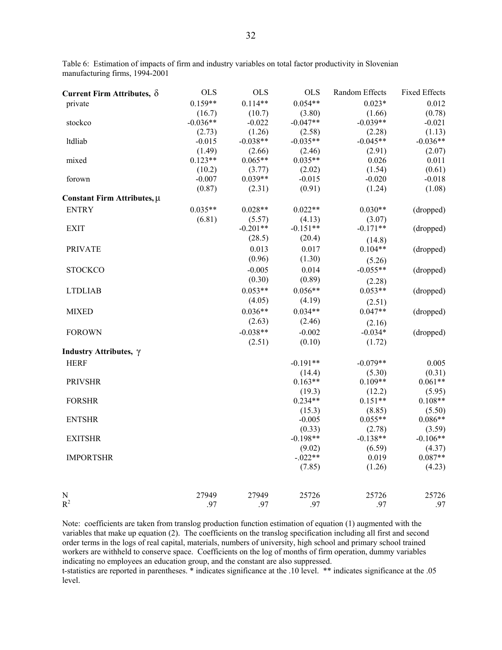| Current Firm Attributes, $\delta$ | <b>OLS</b> | <b>OLS</b> | <b>OLS</b>          | Random Effects      | <b>Fixed Effects</b> |
|-----------------------------------|------------|------------|---------------------|---------------------|----------------------|
| private                           | $0.159**$  | $0.114**$  | $0.054**$           | $0.023*$            | 0.012                |
|                                   | (16.7)     | (10.7)     | (3.80)              | (1.66)              | (0.78)               |
| stockco                           | $-0.036**$ | $-0.022$   | $-0.047**$          | $-0.039**$          | $-0.021$             |
|                                   | (2.73)     | (1.26)     | (2.58)              | (2.28)              | (1.13)               |
| ltdliab                           | $-0.015$   | $-0.038**$ | $-0.035**$          | $-0.045**$          | $-0.036**$           |
|                                   | (1.49)     | (2.66)     | (2.46)              | (2.91)              | (2.07)               |
| mixed                             | $0.123**$  | $0.065**$  | $0.035**$           | 0.026               | 0.011                |
|                                   | (10.2)     | (3.77)     | (2.02)              | (1.54)              | (0.61)               |
| forown                            | $-0.007$   | $0.039**$  | $-0.015$            | $-0.020$            | $-0.018$             |
|                                   | (0.87)     | (2.31)     | (0.91)              | (1.24)              | (1.08)               |
| Constant Firm Attributes, µ       |            |            |                     |                     |                      |
| <b>ENTRY</b>                      | $0.035**$  | $0.028**$  | $0.022**$           | $0.030**$           | (dropped)            |
|                                   | (6.81)     | (5.57)     | (4.13)              | (3.07)              |                      |
| <b>EXIT</b>                       |            | $-0.201**$ | $-0.151**$          | $-0.171**$          | (dropped)            |
|                                   |            | (28.5)     | (20.4)              | (14.8)              |                      |
| <b>PRIVATE</b>                    |            | 0.013      | 0.017               | $0.104**$           | (dropped)            |
|                                   |            | (0.96)     | (1.30)              | (5.26)              |                      |
| <b>STOCKCO</b>                    |            | $-0.005$   | 0.014               | $-0.055**$          | (dropped)            |
|                                   |            | (0.30)     | (0.89)              | (2.28)              |                      |
| <b>LTDLIAB</b>                    |            | $0.053**$  | $0.056**$           | $0.053**$           | (dropped)            |
|                                   |            | (4.05)     | (4.19)              | (2.51)              |                      |
| <b>MIXED</b>                      |            | $0.036**$  | $0.034**$           | $0.047**$           | (dropped)            |
|                                   |            | (2.63)     | (2.46)              | (2.16)              |                      |
| <b>FOROWN</b>                     |            | $-0.038**$ | $-0.002$            | $-0.034*$           | (dropped)            |
|                                   |            | (2.51)     | (0.10)              | (1.72)              |                      |
| Industry Attributes, γ            |            |            |                     |                     |                      |
|                                   |            |            | $-0.191**$          |                     |                      |
| <b>HERF</b>                       |            |            |                     | $-0.079**$          | 0.005<br>(0.31)      |
| <b>PRIVSHR</b>                    |            |            | (14.4)<br>$0.163**$ | (5.30)<br>$0.109**$ | $0.061**$            |
|                                   |            |            | (19.3)              | (12.2)              | (5.95)               |
| <b>FORSHR</b>                     |            |            | $0.234**$           | $0.151**$           | $0.108**$            |
|                                   |            |            | (15.3)              | (8.85)              | (5.50)               |
| <b>ENTSHR</b>                     |            |            | $-0.005$            | $0.055**$           | $0.086**$            |
|                                   |            |            | (0.33)              | (2.78)              | (3.59)               |
| <b>EXITSHR</b>                    |            |            | $-0.198**$          | $-0.138**$          | $-0.106**$           |
|                                   |            |            | (9.02)              | (6.59)              | (4.37)               |
| <b>IMPORTSHR</b>                  |            |            | $-0.022**$          | 0.019               | $0.087**$            |
|                                   |            |            | (7.85)              | (1.26)              | (4.23)               |
|                                   |            |            |                     |                     |                      |
| N                                 | 27949      | 27949      | 25726               | 25726               | 25726                |
| $R^2$                             | .97        | .97        | .97                 | .97                 | .97                  |

Table 6: Estimation of impacts of firm and industry variables on total factor productivity in Slovenian manufacturing firms, 1994-2001

Note: coefficients are taken from translog production function estimation of equation (1) augmented with the variables that make up equation (2). The coefficients on the translog specification including all first and second order terms in the logs of real capital, materials, numbers of university, high school and primary school trained workers are withheld to conserve space. Coefficients on the log of months of firm operation, dummy variables indicating no employees an education group, and the constant are also suppressed. t-statistics are reported in parentheses. \* indicates significance at the .10 level. \*\* indicates significance at the .05

level.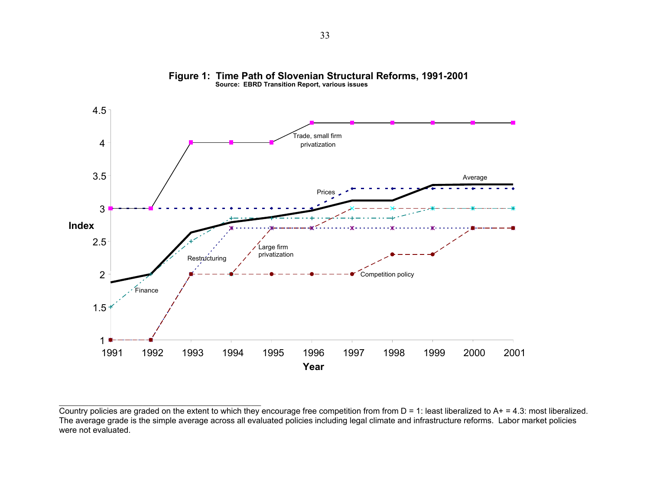

**Figure 1: Time Path of Slovenian Structural Reforms, 1991-2001 Source: EBRD Transition Report, various issues**

Country policies are graded on the extent to which they encourage free competition from from  $D = 1$ : least liberalized to  $A_1 + I_2 + I_3$ : most liberalized. The average grade is the simple average across all evaluated policies including legal climate and infrastructure reforms. Labor market policies were not evaluated.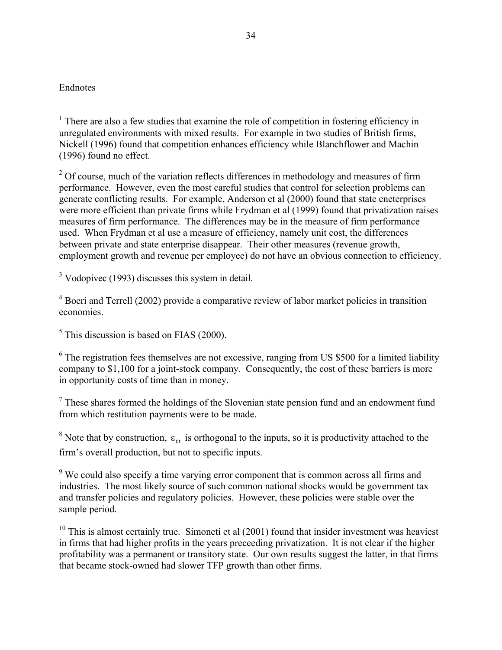#### Endnotes

<sup>1</sup> There are also a few studies that examine the role of competition in fostering efficiency in unregulated environments with mixed results. For example in two studies of British firms, Nickell (1996) found that competition enhances efficiency while Blanchflower and Machin (1996) found no effect.

 $2^{2}$  Of course, much of the variation reflects differences in methodology and measures of firm performance. However, even the most careful studies that control for selection problems can generate conflicting results. For example, Anderson et al (2000) found that state eneterprises were more efficient than private firms while Frydman et al (1999) found that privatization raises measures of firm performance. The differences may be in the measure of firm performance used. When Frydman et al use a measure of efficiency, namely unit cost, the differences between private and state enterprise disappear. Their other measures (revenue growth, employment growth and revenue per employee) do not have an obvious connection to efficiency.

<sup>3</sup> Vodopivec (1993) discusses this system in detail.

<sup>4</sup> Boeri and Terrell (2002) provide a comparative review of labor market policies in transition economies.

 $<sup>5</sup>$  This discussion is based on FIAS (2000).</sup>

 $6$  The registration fees themselves are not excessive, ranging from US \$500 for a limited liability company to \$1,100 for a joint-stock company. Consequently, the cost of these barriers is more in opportunity costs of time than in money.

 $<sup>7</sup>$  These shares formed the holdings of the Slovenian state pension fund and an endowment fund</sup> from which restitution payments were to be made.

<sup>8</sup> Note that by construction,  $\varepsilon_{ijt}$  is orthogonal to the inputs, so it is productivity attached to the firm's overall production, but not to specific inputs.

<sup>9</sup> We could also specify a time varying error component that is common across all firms and industries. The most likely source of such common national shocks would be government tax and transfer policies and regulatory policies. However, these policies were stable over the sample period.

 $10$  This is almost certainly true. Simoneti et al (2001) found that insider investment was heaviest in firms that had higher profits in the years preceeding privatization. It is not clear if the higher profitability was a permanent or transitory state. Our own results suggest the latter, in that firms that became stock-owned had slower TFP growth than other firms.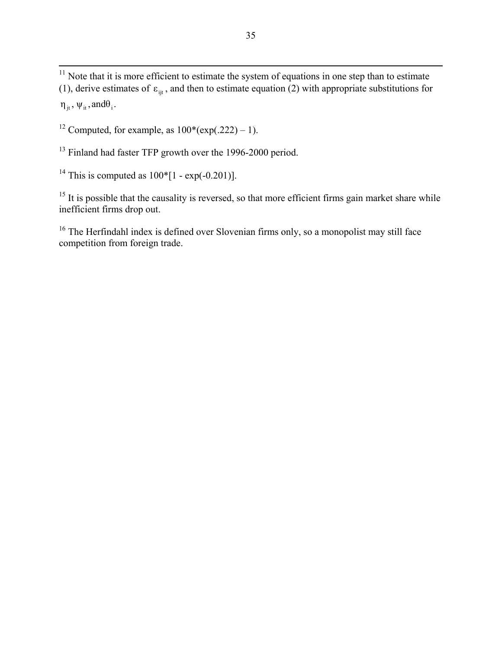<span id="page-37-10"></span> $\overline{a}$ (1), derive estimates of  $\varepsilon_{\text{ijt}}$ , and then to estimate equation (2) with appropriate substitutions for  $\eta_{it}$ ,  $\psi_{it}$ , and $\theta_i$ .  $11$  Note that it is more efficient to estimate the system of equations in one step than to estimate

<span id="page-37-11"></span><span id="page-37-0"></span><sup>12</sup> Computed, for example, as  $100*(exp(.222) - 1)$ .

<span id="page-37-12"></span><sup>13</sup> Finland had faster TFP growth over the 1996-2000 period.

<span id="page-37-13"></span><span id="page-37-1"></span><sup>14</sup> This is computed as  $100*[1 - \exp(-0.201)].$ 

<span id="page-37-14"></span><sup>15</sup> It is possible that the causality is reversed, so that more efficient firms gain market share while inefficient firms drop out.

<span id="page-37-15"></span><span id="page-37-9"></span><span id="page-37-8"></span><span id="page-37-7"></span><span id="page-37-6"></span><span id="page-37-5"></span><span id="page-37-4"></span><span id="page-37-3"></span><span id="page-37-2"></span><sup>16</sup> The Herfindahl index is defined over Slovenian firms only, so a monopolist may still face competition from foreign trade.